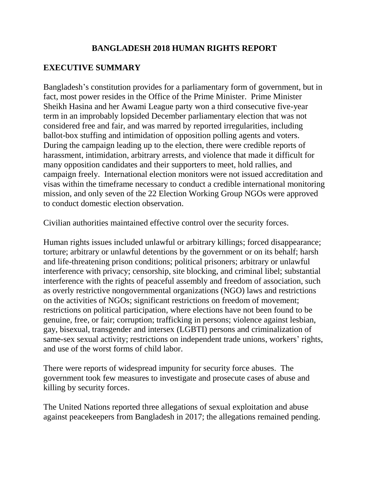## **BANGLADESH 2018 HUMAN RIGHTS REPORT**

## **EXECUTIVE SUMMARY**

Bangladesh's constitution provides for a parliamentary form of government, but in fact, most power resides in the Office of the Prime Minister. Prime Minister Sheikh Hasina and her Awami League party won a third consecutive five-year term in an improbably lopsided December parliamentary election that was not considered free and fair, and was marred by reported irregularities, including ballot-box stuffing and intimidation of opposition polling agents and voters. During the campaign leading up to the election, there were credible reports of harassment, intimidation, arbitrary arrests, and violence that made it difficult for many opposition candidates and their supporters to meet, hold rallies, and campaign freely. International election monitors were not issued accreditation and visas within the timeframe necessary to conduct a credible international monitoring mission, and only seven of the 22 Election Working Group NGOs were approved to conduct domestic election observation.

Civilian authorities maintained effective control over the security forces.

Human rights issues included unlawful or arbitrary killings; forced disappearance; torture; arbitrary or unlawful detentions by the government or on its behalf; harsh and life-threatening prison conditions; political prisoners; arbitrary or unlawful interference with privacy; censorship, site blocking, and criminal libel; substantial interference with the rights of peaceful assembly and freedom of association, such as overly restrictive nongovernmental organizations (NGO) laws and restrictions on the activities of NGOs; significant restrictions on freedom of movement; restrictions on political participation, where elections have not been found to be genuine, free, or fair; corruption; trafficking in persons; violence against lesbian, gay, bisexual, transgender and intersex (LGBTI) persons and criminalization of same-sex sexual activity; restrictions on independent trade unions, workers' rights, and use of the worst forms of child labor.

There were reports of widespread impunity for security force abuses. The government took few measures to investigate and prosecute cases of abuse and killing by security forces.

The United Nations reported three allegations of sexual exploitation and abuse against peacekeepers from Bangladesh in 2017; the allegations remained pending.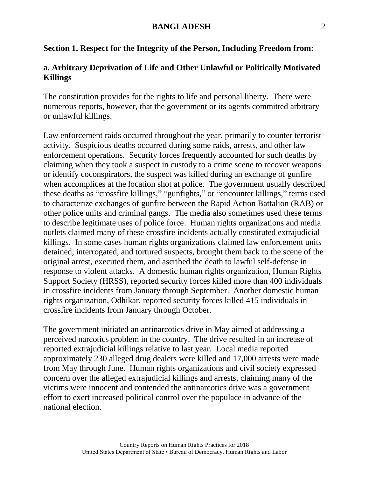### **Section 1. Respect for the Integrity of the Person, Including Freedom from:**

## **a. Arbitrary Deprivation of Life and Other Unlawful or Politically Motivated Killings**

The constitution provides for the rights to life and personal liberty. There were numerous reports, however, that the government or its agents committed arbitrary or unlawful killings.

Law enforcement raids occurred throughout the year, primarily to counter terrorist activity. Suspicious deaths occurred during some raids, arrests, and other law enforcement operations. Security forces frequently accounted for such deaths by claiming when they took a suspect in custody to a crime scene to recover weapons or identify coconspirators, the suspect was killed during an exchange of gunfire when accomplices at the location shot at police. The government usually described these deaths as "crossfire killings," "gunfights," or "encounter killings," terms used to characterize exchanges of gunfire between the Rapid Action Battalion (RAB) or other police units and criminal gangs. The media also sometimes used these terms to describe legitimate uses of police force. Human rights organizations and media outlets claimed many of these crossfire incidents actually constituted extrajudicial killings. In some cases human rights organizations claimed law enforcement units detained, interrogated, and tortured suspects, brought them back to the scene of the original arrest, executed them, and ascribed the death to lawful self-defense in response to violent attacks. A domestic human rights organization, Human Rights Support Society (HRSS), reported security forces killed more than 400 individuals in crossfire incidents from January through September. Another domestic human rights organization, Odhikar, reported security forces killed 415 individuals in crossfire incidents from January through October.

The government initiated an antinarcotics drive in May aimed at addressing a perceived narcotics problem in the country. The drive resulted in an increase of reported extrajudicial killings relative to last year. Local media reported approximately 230 alleged drug dealers were killed and 17,000 arrests were made from May through June. Human rights organizations and civil society expressed concern over the alleged extrajudicial killings and arrests, claiming many of the victims were innocent and contended the antinarcotics drive was a government effort to exert increased political control over the populace in advance of the national election.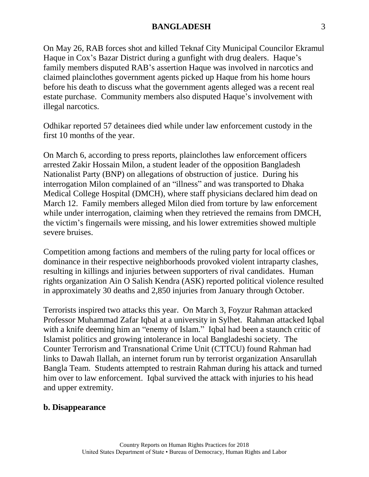On May 26, RAB forces shot and killed Teknaf City Municipal Councilor Ekramul Haque in Cox's Bazar District during a gunfight with drug dealers. Haque's family members disputed RAB's assertion Haque was involved in narcotics and claimed plainclothes government agents picked up Haque from his home hours before his death to discuss what the government agents alleged was a recent real estate purchase. Community members also disputed Haque's involvement with illegal narcotics.

Odhikar reported 57 detainees died while under law enforcement custody in the first 10 months of the year.

On March 6, according to press reports, plainclothes law enforcement officers arrested Zakir Hossain Milon, a student leader of the opposition Bangladesh Nationalist Party (BNP) on allegations of obstruction of justice. During his interrogation Milon complained of an "illness" and was transported to Dhaka Medical College Hospital (DMCH), where staff physicians declared him dead on March 12. Family members alleged Milon died from torture by law enforcement while under interrogation, claiming when they retrieved the remains from DMCH, the victim's fingernails were missing, and his lower extremities showed multiple severe bruises.

Competition among factions and members of the ruling party for local offices or dominance in their respective neighborhoods provoked violent intraparty clashes, resulting in killings and injuries between supporters of rival candidates. Human rights organization Ain O Salish Kendra (ASK) reported political violence resulted in approximately 30 deaths and 2,850 injuries from January through October.

Terrorists inspired two attacks this year. On March 3, Foyzur Rahman attacked Professor Muhammad Zafar Iqbal at a university in Sylhet. Rahman attacked Iqbal with a knife deeming him an "enemy of Islam." Iqbal had been a staunch critic of Islamist politics and growing intolerance in local Bangladeshi society. The Counter Terrorism and Transnational Crime Unit (CTTCU) found Rahman had links to Dawah Ilallah, an internet forum run by terrorist organization Ansarullah Bangla Team. Students attempted to restrain Rahman during his attack and turned him over to law enforcement. Iqbal survived the attack with injuries to his head and upper extremity.

#### **b. Disappearance**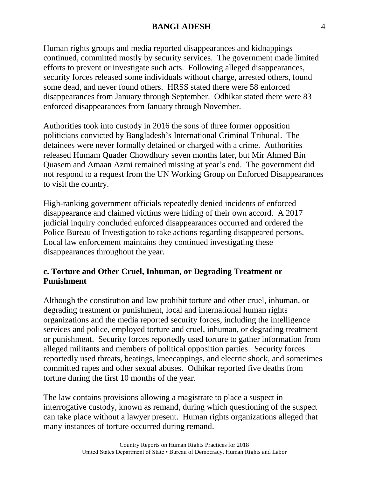Human rights groups and media reported disappearances and kidnappings continued, committed mostly by security services. The government made limited efforts to prevent or investigate such acts. Following alleged disappearances, security forces released some individuals without charge, arrested others, found some dead, and never found others. HRSS stated there were 58 enforced disappearances from January through September. Odhikar stated there were 83 enforced disappearances from January through November.

Authorities took into custody in 2016 the sons of three former opposition politicians convicted by Bangladesh's International Criminal Tribunal. The detainees were never formally detained or charged with a crime. Authorities released Humam Quader Chowdhury seven months later, but Mir Ahmed Bin Quasem and Amaan Azmi remained missing at year's end. The government did not respond to a request from the UN Working Group on Enforced Disappearances to visit the country.

High-ranking government officials repeatedly denied incidents of enforced disappearance and claimed victims were hiding of their own accord. A 2017 judicial inquiry concluded enforced disappearances occurred and ordered the Police Bureau of Investigation to take actions regarding disappeared persons. Local law enforcement maintains they continued investigating these disappearances throughout the year.

## **c. Torture and Other Cruel, Inhuman, or Degrading Treatment or Punishment**

Although the constitution and law prohibit torture and other cruel, inhuman, or degrading treatment or punishment, local and international human rights organizations and the media reported security forces, including the intelligence services and police, employed torture and cruel, inhuman, or degrading treatment or punishment. Security forces reportedly used torture to gather information from alleged militants and members of political opposition parties. Security forces reportedly used threats, beatings, kneecappings, and electric shock, and sometimes committed rapes and other sexual abuses. Odhikar reported five deaths from torture during the first 10 months of the year.

The law contains provisions allowing a magistrate to place a suspect in interrogative custody, known as remand, during which questioning of the suspect can take place without a lawyer present. Human rights organizations alleged that many instances of torture occurred during remand.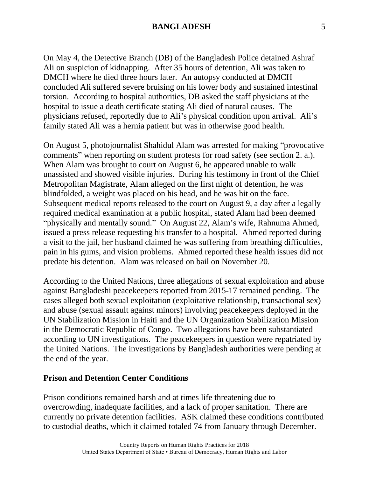On May 4, the Detective Branch (DB) of the Bangladesh Police detained Ashraf Ali on suspicion of kidnapping. After 35 hours of detention, Ali was taken to DMCH where he died three hours later. An autopsy conducted at DMCH concluded Ali suffered severe bruising on his lower body and sustained intestinal torsion. According to hospital authorities, DB asked the staff physicians at the hospital to issue a death certificate stating Ali died of natural causes. The physicians refused, reportedly due to Ali's physical condition upon arrival. Ali's family stated Ali was a hernia patient but was in otherwise good health.

On August 5, photojournalist Shahidul Alam was arrested for making "provocative comments" when reporting on student protests for road safety (see section 2. a.). When Alam was brought to court on August 6, he appeared unable to walk unassisted and showed visible injuries. During his testimony in front of the Chief Metropolitan Magistrate, Alam alleged on the first night of detention, he was blindfolded, a weight was placed on his head, and he was hit on the face. Subsequent medical reports released to the court on August 9, a day after a legally required medical examination at a public hospital, stated Alam had been deemed "physically and mentally sound." On August 22, Alam's wife, Rahnuma Ahmed, issued a press release requesting his transfer to a hospital. Ahmed reported during a visit to the jail, her husband claimed he was suffering from breathing difficulties, pain in his gums, and vision problems. Ahmed reported these health issues did not predate his detention. Alam was released on bail on November 20.

According to the United Nations, three allegations of sexual exploitation and abuse against Bangladeshi peacekeepers reported from 2015-17 remained pending. The cases alleged both sexual exploitation (exploitative relationship, transactional sex) and abuse (sexual assault against minors) involving peacekeepers deployed in the UN Stabilization Mission in Haiti and the UN Organization Stabilization Mission in the Democratic Republic of Congo. Two allegations have been substantiated according to UN investigations. The peacekeepers in question were repatriated by the United Nations. The investigations by Bangladesh authorities were pending at the end of the year.

#### **Prison and Detention Center Conditions**

Prison conditions remained harsh and at times life threatening due to overcrowding, inadequate facilities, and a lack of proper sanitation. There are currently no private detention facilities. ASK claimed these conditions contributed to custodial deaths, which it claimed totaled 74 from January through December.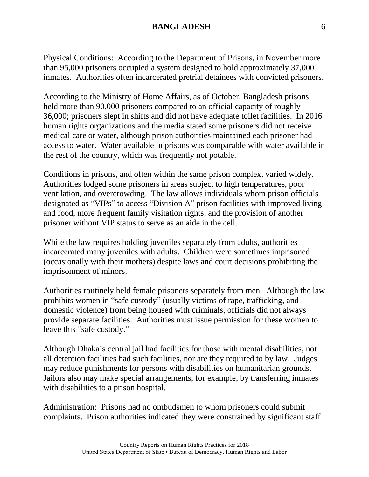Physical Conditions: According to the Department of Prisons, in November more than 95,000 prisoners occupied a system designed to hold approximately 37,000 inmates. Authorities often incarcerated pretrial detainees with convicted prisoners.

According to the Ministry of Home Affairs, as of October, Bangladesh prisons held more than 90,000 prisoners compared to an official capacity of roughly 36,000; prisoners slept in shifts and did not have adequate toilet facilities. In 2016 human rights organizations and the media stated some prisoners did not receive medical care or water, although prison authorities maintained each prisoner had access to water. Water available in prisons was comparable with water available in the rest of the country, which was frequently not potable.

Conditions in prisons, and often within the same prison complex, varied widely. Authorities lodged some prisoners in areas subject to high temperatures, poor ventilation, and overcrowding. The law allows individuals whom prison officials designated as "VIPs" to access "Division A" prison facilities with improved living and food, more frequent family visitation rights, and the provision of another prisoner without VIP status to serve as an aide in the cell.

While the law requires holding juveniles separately from adults, authorities incarcerated many juveniles with adults. Children were sometimes imprisoned (occasionally with their mothers) despite laws and court decisions prohibiting the imprisonment of minors.

Authorities routinely held female prisoners separately from men. Although the law prohibits women in "safe custody" (usually victims of rape, trafficking, and domestic violence) from being housed with criminals, officials did not always provide separate facilities. Authorities must issue permission for these women to leave this "safe custody."

Although Dhaka's central jail had facilities for those with mental disabilities, not all detention facilities had such facilities, nor are they required to by law. Judges may reduce punishments for persons with disabilities on humanitarian grounds. Jailors also may make special arrangements, for example, by transferring inmates with disabilities to a prison hospital.

Administration: Prisons had no ombudsmen to whom prisoners could submit complaints. Prison authorities indicated they were constrained by significant staff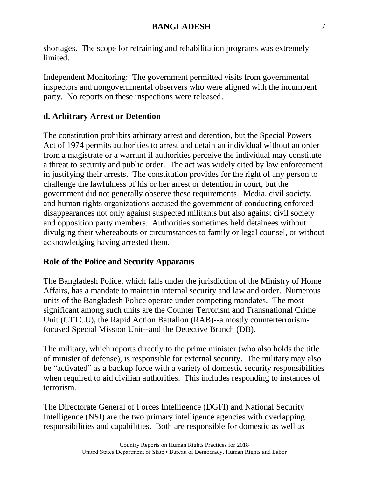shortages. The scope for retraining and rehabilitation programs was extremely limited.

Independent Monitoring: The government permitted visits from governmental inspectors and nongovernmental observers who were aligned with the incumbent party. No reports on these inspections were released.

# **d. Arbitrary Arrest or Detention**

The constitution prohibits arbitrary arrest and detention, but the Special Powers Act of 1974 permits authorities to arrest and detain an individual without an order from a magistrate or a warrant if authorities perceive the individual may constitute a threat to security and public order. The act was widely cited by law enforcement in justifying their arrests. The constitution provides for the right of any person to challenge the lawfulness of his or her arrest or detention in court, but the government did not generally observe these requirements. Media, civil society, and human rights organizations accused the government of conducting enforced disappearances not only against suspected militants but also against civil society and opposition party members. Authorities sometimes held detainees without divulging their whereabouts or circumstances to family or legal counsel, or without acknowledging having arrested them.

## **Role of the Police and Security Apparatus**

The Bangladesh Police, which falls under the jurisdiction of the Ministry of Home Affairs, has a mandate to maintain internal security and law and order. Numerous units of the Bangladesh Police operate under competing mandates. The most significant among such units are the Counter Terrorism and Transnational Crime Unit (CTTCU), the Rapid Action Battalion (RAB)--a mostly counterterrorismfocused Special Mission Unit--and the Detective Branch (DB).

The military, which reports directly to the prime minister (who also holds the title of minister of defense), is responsible for external security. The military may also be "activated" as a backup force with a variety of domestic security responsibilities when required to aid civilian authorities. This includes responding to instances of terrorism.

The Directorate General of Forces Intelligence (DGFI) and National Security Intelligence (NSI) are the two primary intelligence agencies with overlapping responsibilities and capabilities. Both are responsible for domestic as well as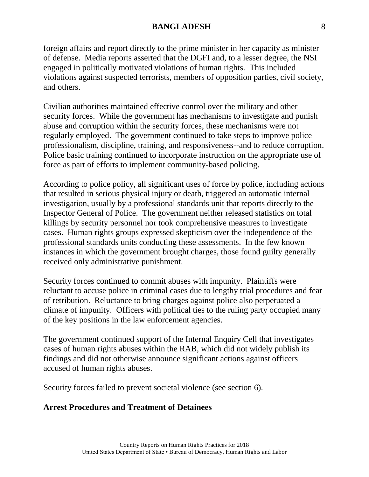foreign affairs and report directly to the prime minister in her capacity as minister of defense. Media reports asserted that the DGFI and, to a lesser degree, the NSI engaged in politically motivated violations of human rights. This included violations against suspected terrorists, members of opposition parties, civil society, and others.

Civilian authorities maintained effective control over the military and other security forces. While the government has mechanisms to investigate and punish abuse and corruption within the security forces, these mechanisms were not regularly employed. The government continued to take steps to improve police professionalism, discipline, training, and responsiveness--and to reduce corruption. Police basic training continued to incorporate instruction on the appropriate use of force as part of efforts to implement community-based policing.

According to police policy, all significant uses of force by police, including actions that resulted in serious physical injury or death, triggered an automatic internal investigation, usually by a professional standards unit that reports directly to the Inspector General of Police. The government neither released statistics on total killings by security personnel nor took comprehensive measures to investigate cases. Human rights groups expressed skepticism over the independence of the professional standards units conducting these assessments. In the few known instances in which the government brought charges, those found guilty generally received only administrative punishment.

Security forces continued to commit abuses with impunity. Plaintiffs were reluctant to accuse police in criminal cases due to lengthy trial procedures and fear of retribution. Reluctance to bring charges against police also perpetuated a climate of impunity. Officers with political ties to the ruling party occupied many of the key positions in the law enforcement agencies.

The government continued support of the Internal Enquiry Cell that investigates cases of human rights abuses within the RAB, which did not widely publish its findings and did not otherwise announce significant actions against officers accused of human rights abuses.

Security forces failed to prevent societal violence (see section 6).

#### **Arrest Procedures and Treatment of Detainees**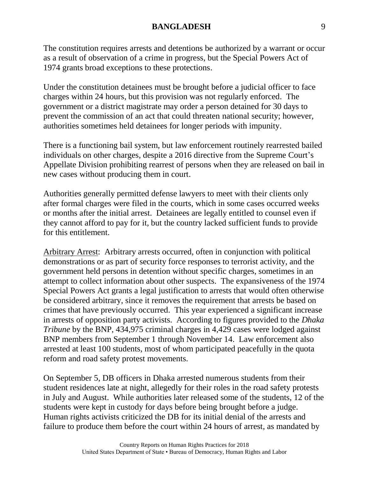The constitution requires arrests and detentions be authorized by a warrant or occur as a result of observation of a crime in progress, but the Special Powers Act of 1974 grants broad exceptions to these protections.

Under the constitution detainees must be brought before a judicial officer to face charges within 24 hours, but this provision was not regularly enforced. The government or a district magistrate may order a person detained for 30 days to prevent the commission of an act that could threaten national security; however, authorities sometimes held detainees for longer periods with impunity.

There is a functioning bail system, but law enforcement routinely rearrested bailed individuals on other charges, despite a 2016 directive from the Supreme Court's Appellate Division prohibiting rearrest of persons when they are released on bail in new cases without producing them in court.

Authorities generally permitted defense lawyers to meet with their clients only after formal charges were filed in the courts, which in some cases occurred weeks or months after the initial arrest. Detainees are legally entitled to counsel even if they cannot afford to pay for it, but the country lacked sufficient funds to provide for this entitlement.

Arbitrary Arrest: Arbitrary arrests occurred, often in conjunction with political demonstrations or as part of security force responses to terrorist activity, and the government held persons in detention without specific charges, sometimes in an attempt to collect information about other suspects. The expansiveness of the 1974 Special Powers Act grants a legal justification to arrests that would often otherwise be considered arbitrary, since it removes the requirement that arrests be based on crimes that have previously occurred. This year experienced a significant increase in arrests of opposition party activists. According to figures provided to the *Dhaka Tribune* by the BNP, 434,975 criminal charges in 4,429 cases were lodged against BNP members from September 1 through November 14. Law enforcement also arrested at least 100 students, most of whom participated peacefully in the quota reform and road safety protest movements.

On September 5, DB officers in Dhaka arrested numerous students from their student residences late at night, allegedly for their roles in the road safety protests in July and August. While authorities later released some of the students, 12 of the students were kept in custody for days before being brought before a judge. Human rights activists criticized the DB for its initial denial of the arrests and failure to produce them before the court within 24 hours of arrest, as mandated by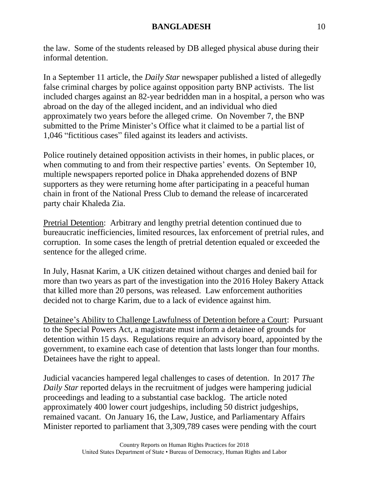the law. Some of the students released by DB alleged physical abuse during their informal detention.

In a September 11 article, the *Daily Star* newspaper published a listed of allegedly false criminal charges by police against opposition party BNP activists. The list included charges against an 82-year bedridden man in a hospital, a person who was abroad on the day of the alleged incident, and an individual who died approximately two years before the alleged crime. On November 7, the BNP submitted to the Prime Minister's Office what it claimed to be a partial list of 1,046 "fictitious cases" filed against its leaders and activists.

Police routinely detained opposition activists in their homes, in public places, or when commuting to and from their respective parties' events. On September 10, multiple newspapers reported police in Dhaka apprehended dozens of BNP supporters as they were returning home after participating in a peaceful human chain in front of the National Press Club to demand the release of incarcerated party chair Khaleda Zia.

Pretrial Detention: Arbitrary and lengthy pretrial detention continued due to bureaucratic inefficiencies, limited resources, lax enforcement of pretrial rules, and corruption. In some cases the length of pretrial detention equaled or exceeded the sentence for the alleged crime.

In July, Hasnat Karim, a UK citizen detained without charges and denied bail for more than two years as part of the investigation into the 2016 Holey Bakery Attack that killed more than 20 persons, was released. Law enforcement authorities decided not to charge Karim, due to a lack of evidence against him.

Detainee's Ability to Challenge Lawfulness of Detention before a Court: Pursuant to the Special Powers Act, a magistrate must inform a detainee of grounds for detention within 15 days. Regulations require an advisory board, appointed by the government, to examine each case of detention that lasts longer than four months. Detainees have the right to appeal.

Judicial vacancies hampered legal challenges to cases of detention. In 2017 *The Daily Star* reported delays in the recruitment of judges were hampering judicial proceedings and leading to a substantial case backlog. The article noted approximately 400 lower court judgeships, including 50 district judgeships, remained vacant. On January 16, the Law, Justice, and Parliamentary Affairs Minister reported to parliament that 3,309,789 cases were pending with the court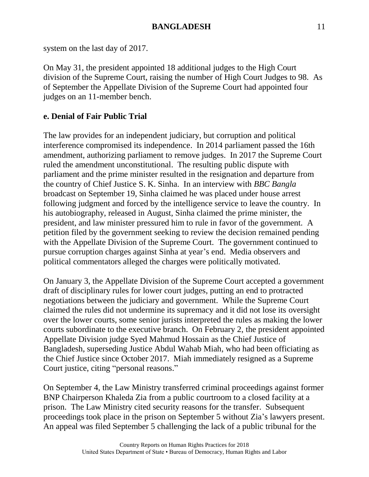system on the last day of 2017.

On May 31, the president appointed 18 additional judges to the High Court division of the Supreme Court, raising the number of High Court Judges to 98. As of September the Appellate Division of the Supreme Court had appointed four judges on an 11-member bench.

# **e. Denial of Fair Public Trial**

The law provides for an independent judiciary, but corruption and political interference compromised its independence. In 2014 parliament passed the 16th amendment, authorizing parliament to remove judges. In 2017 the Supreme Court ruled the amendment unconstitutional. The resulting public dispute with parliament and the prime minister resulted in the resignation and departure from the country of Chief Justice S. K. Sinha. In an interview with *BBC Bangla* broadcast on September 19, Sinha claimed he was placed under house arrest following judgment and forced by the intelligence service to leave the country. In his autobiography, released in August, Sinha claimed the prime minister, the president, and law minister pressured him to rule in favor of the government. A petition filed by the government seeking to review the decision remained pending with the Appellate Division of the Supreme Court. The government continued to pursue corruption charges against Sinha at year's end. Media observers and political commentators alleged the charges were politically motivated.

On January 3, the Appellate Division of the Supreme Court accepted a government draft of disciplinary rules for lower court judges, putting an end to protracted negotiations between the judiciary and government. While the Supreme Court claimed the rules did not undermine its supremacy and it did not lose its oversight over the lower courts, some senior jurists interpreted the rules as making the lower courts subordinate to the executive branch. On February 2, the president appointed Appellate Division judge Syed Mahmud Hossain as the Chief Justice of Bangladesh, superseding Justice Abdul Wahab Miah, who had been officiating as the Chief Justice since October 2017. Miah immediately resigned as a Supreme Court justice, citing "personal reasons."

On September 4, the Law Ministry transferred criminal proceedings against former BNP Chairperson Khaleda Zia from a public courtroom to a closed facility at a prison. The Law Ministry cited security reasons for the transfer. Subsequent proceedings took place in the prison on September 5 without Zia's lawyers present. An appeal was filed September 5 challenging the lack of a public tribunal for the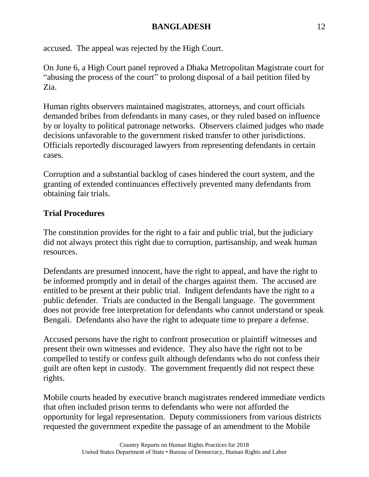accused. The appeal was rejected by the High Court.

On June 6, a High Court panel reproved a Dhaka Metropolitan Magistrate court for "abusing the process of the court" to prolong disposal of a bail petition filed by Zia.

Human rights observers maintained magistrates, attorneys, and court officials demanded bribes from defendants in many cases, or they ruled based on influence by or loyalty to political patronage networks. Observers claimed judges who made decisions unfavorable to the government risked transfer to other jurisdictions. Officials reportedly discouraged lawyers from representing defendants in certain cases.

Corruption and a substantial backlog of cases hindered the court system, and the granting of extended continuances effectively prevented many defendants from obtaining fair trials.

# **Trial Procedures**

The constitution provides for the right to a fair and public trial, but the judiciary did not always protect this right due to corruption, partisanship, and weak human resources.

Defendants are presumed innocent, have the right to appeal, and have the right to be informed promptly and in detail of the charges against them. The accused are entitled to be present at their public trial. Indigent defendants have the right to a public defender. Trials are conducted in the Bengali language. The government does not provide free interpretation for defendants who cannot understand or speak Bengali. Defendants also have the right to adequate time to prepare a defense.

Accused persons have the right to confront prosecution or plaintiff witnesses and present their own witnesses and evidence. They also have the right not to be compelled to testify or confess guilt although defendants who do not confess their guilt are often kept in custody. The government frequently did not respect these rights.

Mobile courts headed by executive branch magistrates rendered immediate verdicts that often included prison terms to defendants who were not afforded the opportunity for legal representation. Deputy commissioners from various districts requested the government expedite the passage of an amendment to the Mobile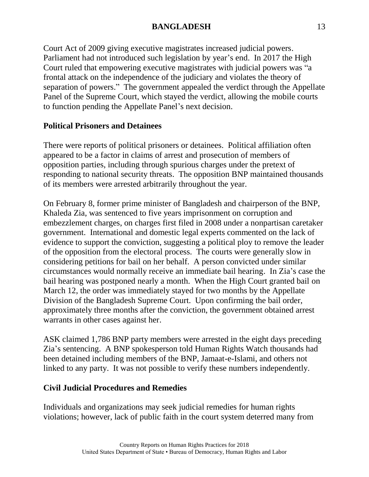Court Act of 2009 giving executive magistrates increased judicial powers. Parliament had not introduced such legislation by year's end. In 2017 the High Court ruled that empowering executive magistrates with judicial powers was "a frontal attack on the independence of the judiciary and violates the theory of separation of powers." The government appealed the verdict through the Appellate Panel of the Supreme Court, which stayed the verdict, allowing the mobile courts to function pending the Appellate Panel's next decision.

## **Political Prisoners and Detainees**

There were reports of political prisoners or detainees. Political affiliation often appeared to be a factor in claims of arrest and prosecution of members of opposition parties, including through spurious charges under the pretext of responding to national security threats. The opposition BNP maintained thousands of its members were arrested arbitrarily throughout the year.

On February 8, former prime minister of Bangladesh and chairperson of the BNP, Khaleda Zia, was sentenced to five years imprisonment on corruption and embezzlement charges, on charges first filed in 2008 under a nonpartisan caretaker government. International and domestic legal experts commented on the lack of evidence to support the conviction, suggesting a political ploy to remove the leader of the opposition from the electoral process. The courts were generally slow in considering petitions for bail on her behalf. A person convicted under similar circumstances would normally receive an immediate bail hearing. In Zia's case the bail hearing was postponed nearly a month. When the High Court granted bail on March 12, the order was immediately stayed for two months by the Appellate Division of the Bangladesh Supreme Court. Upon confirming the bail order, approximately three months after the conviction, the government obtained arrest warrants in other cases against her.

ASK claimed 1,786 BNP party members were arrested in the eight days preceding Zia's sentencing. A BNP spokesperson told Human Rights Watch thousands had been detained including members of the BNP, Jamaat-e-Islami, and others not linked to any party. It was not possible to verify these numbers independently.

## **Civil Judicial Procedures and Remedies**

Individuals and organizations may seek judicial remedies for human rights violations; however, lack of public faith in the court system deterred many from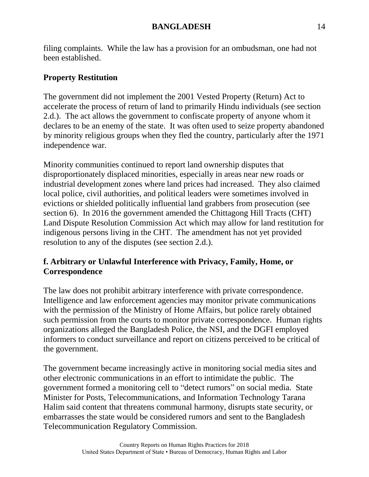filing complaints. While the law has a provision for an ombudsman, one had not been established.

## **Property Restitution**

The government did not implement the 2001 Vested Property (Return) Act to accelerate the process of return of land to primarily Hindu individuals (see section 2.d.). The act allows the government to confiscate property of anyone whom it declares to be an enemy of the state. It was often used to seize property abandoned by minority religious groups when they fled the country, particularly after the 1971 independence war.

Minority communities continued to report land ownership disputes that disproportionately displaced minorities, especially in areas near new roads or industrial development zones where land prices had increased. They also claimed local police, civil authorities, and political leaders were sometimes involved in evictions or shielded politically influential land grabbers from prosecution (see section 6). In 2016 the government amended the Chittagong Hill Tracts (CHT) Land Dispute Resolution Commission Act which may allow for land restitution for indigenous persons living in the CHT. The amendment has not yet provided resolution to any of the disputes (see section 2.d.).

## **f. Arbitrary or Unlawful Interference with Privacy, Family, Home, or Correspondence**

The law does not prohibit arbitrary interference with private correspondence. Intelligence and law enforcement agencies may monitor private communications with the permission of the Ministry of Home Affairs, but police rarely obtained such permission from the courts to monitor private correspondence. Human rights organizations alleged the Bangladesh Police, the NSI, and the DGFI employed informers to conduct surveillance and report on citizens perceived to be critical of the government.

The government became increasingly active in monitoring social media sites and other electronic communications in an effort to intimidate the public. The government formed a monitoring cell to "detect rumors" on social media. State Minister for Posts, Telecommunications, and Information Technology Tarana Halim said content that threatens communal harmony, disrupts state security, or embarrasses the state would be considered rumors and sent to the Bangladesh Telecommunication Regulatory Commission.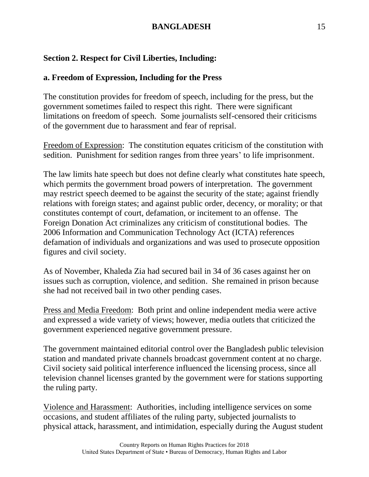# **Section 2. Respect for Civil Liberties, Including:**

## **a. Freedom of Expression, Including for the Press**

The constitution provides for freedom of speech, including for the press, but the government sometimes failed to respect this right. There were significant limitations on freedom of speech. Some journalists self-censored their criticisms of the government due to harassment and fear of reprisal.

Freedom of Expression: The constitution equates criticism of the constitution with sedition. Punishment for sedition ranges from three years' to life imprisonment.

The law limits hate speech but does not define clearly what constitutes hate speech, which permits the government broad powers of interpretation. The government may restrict speech deemed to be against the security of the state; against friendly relations with foreign states; and against public order, decency, or morality; or that constitutes contempt of court, defamation, or incitement to an offense. The Foreign Donation Act criminalizes any criticism of constitutional bodies. The 2006 Information and Communication Technology Act (ICTA) references defamation of individuals and organizations and was used to prosecute opposition figures and civil society.

As of November, Khaleda Zia had secured bail in 34 of 36 cases against her on issues such as corruption, violence, and sedition. She remained in prison because she had not received bail in two other pending cases.

Press and Media Freedom: Both print and online independent media were active and expressed a wide variety of views; however, media outlets that criticized the government experienced negative government pressure.

The government maintained editorial control over the Bangladesh public television station and mandated private channels broadcast government content at no charge. Civil society said political interference influenced the licensing process, since all television channel licenses granted by the government were for stations supporting the ruling party.

Violence and Harassment: Authorities, including intelligence services on some occasions, and student affiliates of the ruling party, subjected journalists to physical attack, harassment, and intimidation, especially during the August student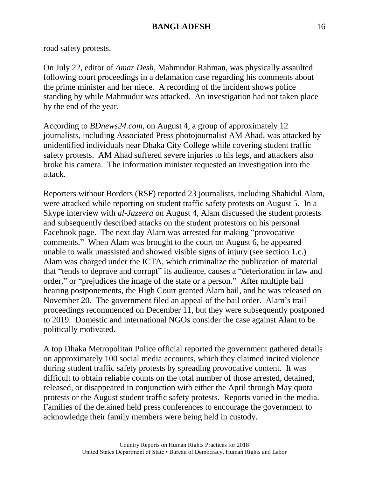road safety protests.

On July 22, editor of *Amar Desh*, Mahmudur Rahman, was physically assaulted following court proceedings in a defamation case regarding his comments about the prime minister and her niece. A recording of the incident shows police standing by while Mahmudur was attacked. An investigation had not taken place by the end of the year.

According to *BDnews24.com*, on August 4, a group of approximately 12 journalists, including Associated Press photojournalist AM Ahad, was attacked by unidentified individuals near Dhaka City College while covering student traffic safety protests. AM Ahad suffered severe injuries to his legs, and attackers also broke his camera. The information minister requested an investigation into the attack.

Reporters without Borders (RSF) reported 23 journalists, including Shahidul Alam, were attacked while reporting on student traffic safety protests on August 5. In a Skype interview with *al-Jazeera* on August 4, Alam discussed the student protests and subsequently described attacks on the student protestors on his personal Facebook page. The next day Alam was arrested for making "provocative comments." When Alam was brought to the court on August 6, he appeared unable to walk unassisted and showed visible signs of injury (see section 1.c.) Alam was charged under the ICTA, which criminalize the publication of material that "tends to deprave and corrupt" its audience, causes a "deterioration in law and order," or "prejudices the image of the state or a person." After multiple bail hearing postponements, the High Court granted Alam bail, and he was released on November 20. The government filed an appeal of the bail order. Alam's trail proceedings recommenced on December 11, but they were subsequently postponed to 2019. Domestic and international NGOs consider the case against Alam to be politically motivated.

A top Dhaka Metropolitan Police official reported the government gathered details on approximately 100 social media accounts, which they claimed incited violence during student traffic safety protests by spreading provocative content. It was difficult to obtain reliable counts on the total number of those arrested, detained, released, or disappeared in conjunction with either the April through May quota protests or the August student traffic safety protests. Reports varied in the media. Families of the detained held press conferences to encourage the government to acknowledge their family members were being held in custody.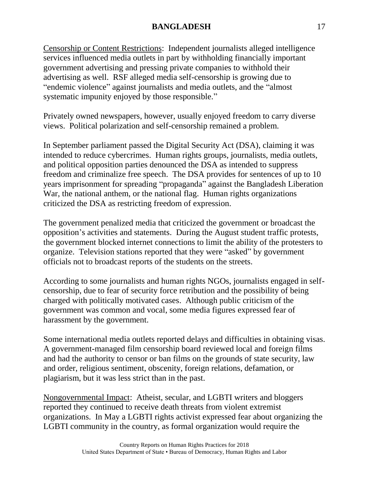Censorship or Content Restrictions: Independent journalists alleged intelligence services influenced media outlets in part by withholding financially important government advertising and pressing private companies to withhold their advertising as well. RSF alleged media self-censorship is growing due to "endemic violence" against journalists and media outlets, and the "almost systematic impunity enjoyed by those responsible."

Privately owned newspapers, however, usually enjoyed freedom to carry diverse views. Political polarization and self-censorship remained a problem.

In September parliament passed the Digital Security Act (DSA), claiming it was intended to reduce cybercrimes. Human rights groups, journalists, media outlets, and political opposition parties denounced the DSA as intended to suppress freedom and criminalize free speech. The DSA provides for sentences of up to 10 years imprisonment for spreading "propaganda" against the Bangladesh Liberation War, the national anthem, or the national flag. Human rights organizations criticized the DSA as restricting freedom of expression.

The government penalized media that criticized the government or broadcast the opposition's activities and statements. During the August student traffic protests, the government blocked internet connections to limit the ability of the protesters to organize. Television stations reported that they were "asked" by government officials not to broadcast reports of the students on the streets.

According to some journalists and human rights NGOs, journalists engaged in selfcensorship, due to fear of security force retribution and the possibility of being charged with politically motivated cases. Although public criticism of the government was common and vocal, some media figures expressed fear of harassment by the government.

Some international media outlets reported delays and difficulties in obtaining visas. A government-managed film censorship board reviewed local and foreign films and had the authority to censor or ban films on the grounds of state security, law and order, religious sentiment, obscenity, foreign relations, defamation, or plagiarism, but it was less strict than in the past.

Nongovernmental Impact: Atheist, secular, and LGBTI writers and bloggers reported they continued to receive death threats from violent extremist organizations. In May a LGBTI rights activist expressed fear about organizing the LGBTI community in the country, as formal organization would require the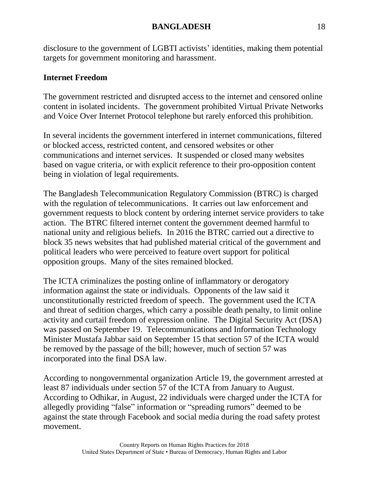disclosure to the government of LGBTI activists' identities, making them potential targets for government monitoring and harassment.

## **Internet Freedom**

The government restricted and disrupted access to the internet and censored online content in isolated incidents. The government prohibited Virtual Private Networks and Voice Over Internet Protocol telephone but rarely enforced this prohibition.

In several incidents the government interfered in internet communications, filtered or blocked access, restricted content, and censored websites or other communications and internet services. It suspended or closed many websites based on vague criteria, or with explicit reference to their pro-opposition content being in violation of legal requirements.

The Bangladesh Telecommunication Regulatory Commission (BTRC) is charged with the regulation of telecommunications. It carries out law enforcement and government requests to block content by ordering internet service providers to take action. The BTRC filtered internet content the government deemed harmful to national unity and religious beliefs. In 2016 the BTRC carried out a directive to block 35 news websites that had published material critical of the government and political leaders who were perceived to feature overt support for political opposition groups. Many of the sites remained blocked.

The ICTA criminalizes the posting online of inflammatory or derogatory information against the state or individuals. Opponents of the law said it unconstitutionally restricted freedom of speech. The government used the ICTA and threat of sedition charges, which carry a possible death penalty, to limit online activity and curtail freedom of expression online. The Digital Security Act (DSA) was passed on September 19. Telecommunications and Information Technology Minister Mustafa Jabbar said on September 15 that section 57 of the ICTA would be removed by the passage of the bill; however, much of section 57 was incorporated into the final DSA law.

According to nongovernmental organization Article 19, the government arrested at least 87 individuals under section 57 of the ICTA from January to August. According to Odhikar, in August, 22 individuals were charged under the ICTA for allegedly providing "false" information or "spreading rumors" deemed to be against the state through Facebook and social media during the road safety protest movement.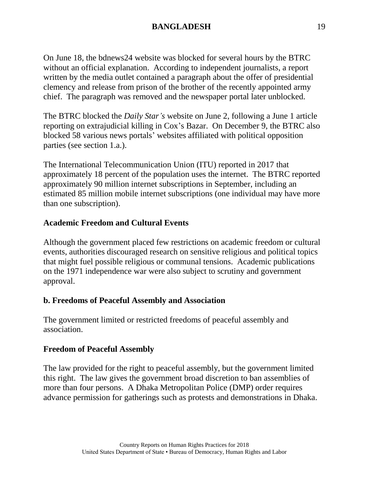On June 18, the bdnews24 website was blocked for several hours by the BTRC without an official explanation. According to independent journalists, a report written by the media outlet contained a paragraph about the offer of presidential clemency and release from prison of the brother of the recently appointed army chief. The paragraph was removed and the newspaper portal later unblocked.

The BTRC blocked the *Daily Star's* website on June 2, following a June 1 article reporting on extrajudicial killing in Cox's Bazar. On December 9, the BTRC also blocked 58 various news portals' websites affiliated with political opposition parties (see section 1.a.).

The International Telecommunication Union (ITU) reported in 2017 that approximately 18 percent of the population uses the internet. The BTRC reported approximately 90 million internet subscriptions in September, including an estimated 85 million mobile internet subscriptions (one individual may have more than one subscription).

## **Academic Freedom and Cultural Events**

Although the government placed few restrictions on academic freedom or cultural events, authorities discouraged research on sensitive religious and political topics that might fuel possible religious or communal tensions. Academic publications on the 1971 independence war were also subject to scrutiny and government approval.

### **b. Freedoms of Peaceful Assembly and Association**

The government limited or restricted freedoms of peaceful assembly and association.

### **Freedom of Peaceful Assembly**

The law provided for the right to peaceful assembly, but the government limited this right. The law gives the government broad discretion to ban assemblies of more than four persons. A Dhaka Metropolitan Police (DMP) order requires advance permission for gatherings such as protests and demonstrations in Dhaka.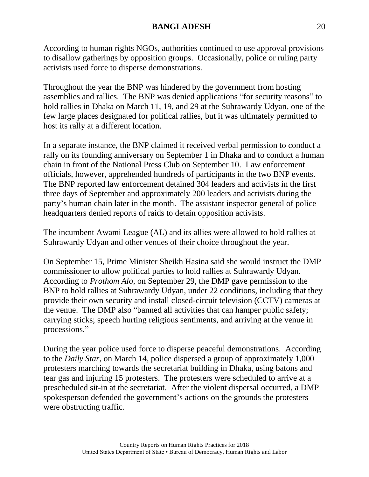According to human rights NGOs, authorities continued to use approval provisions to disallow gatherings by opposition groups. Occasionally, police or ruling party activists used force to disperse demonstrations.

Throughout the year the BNP was hindered by the government from hosting assemblies and rallies. The BNP was denied applications "for security reasons" to hold rallies in Dhaka on March 11, 19, and 29 at the Suhrawardy Udyan, one of the few large places designated for political rallies, but it was ultimately permitted to host its rally at a different location.

In a separate instance, the BNP claimed it received verbal permission to conduct a rally on its founding anniversary on September 1 in Dhaka and to conduct a human chain in front of the National Press Club on September 10. Law enforcement officials, however, apprehended hundreds of participants in the two BNP events. The BNP reported law enforcement detained 304 leaders and activists in the first three days of September and approximately 200 leaders and activists during the party's human chain later in the month. The assistant inspector general of police headquarters denied reports of raids to detain opposition activists.

The incumbent Awami League (AL) and its allies were allowed to hold rallies at Suhrawardy Udyan and other venues of their choice throughout the year.

On September 15, Prime Minister Sheikh Hasina said she would instruct the DMP commissioner to allow political parties to hold rallies at Suhrawardy Udyan. According to *Prothom Alo*, on September 29, the DMP gave permission to the BNP to hold rallies at Suhrawardy Udyan, under 22 conditions, including that they provide their own security and install closed-circuit television (CCTV) cameras at the venue. The DMP also "banned all activities that can hamper public safety; carrying sticks; speech hurting religious sentiments, and arriving at the venue in processions."

During the year police used force to disperse peaceful demonstrations. According to the *Daily Star*, on March 14, police dispersed a group of approximately 1,000 protesters marching towards the secretariat building in Dhaka, using batons and tear gas and injuring 15 protesters. The protesters were scheduled to arrive at a prescheduled sit-in at the secretariat. After the violent dispersal occurred, a DMP spokesperson defended the government's actions on the grounds the protesters were obstructing traffic.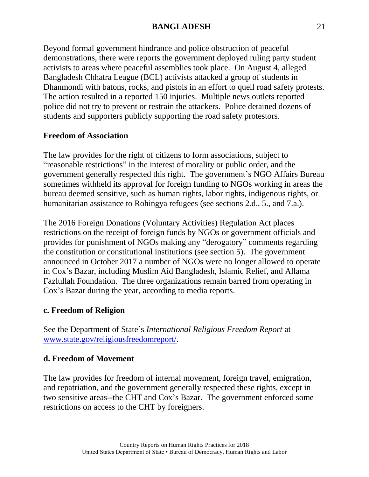Beyond formal government hindrance and police obstruction of peaceful demonstrations, there were reports the government deployed ruling party student activists to areas where peaceful assemblies took place. On August 4, alleged Bangladesh Chhatra League (BCL) activists attacked a group of students in Dhanmondi with batons, rocks, and pistols in an effort to quell road safety protests. The action resulted in a reported 150 injuries. Multiple news outlets reported police did not try to prevent or restrain the attackers. Police detained dozens of students and supporters publicly supporting the road safety protestors.

## **Freedom of Association**

The law provides for the right of citizens to form associations, subject to "reasonable restrictions" in the interest of morality or public order, and the government generally respected this right. The government's NGO Affairs Bureau sometimes withheld its approval for foreign funding to NGOs working in areas the bureau deemed sensitive, such as human rights, labor rights, indigenous rights, or humanitarian assistance to Rohingya refugees (see sections 2.d., 5., and 7.a.).

The 2016 Foreign Donations (Voluntary Activities) Regulation Act places restrictions on the receipt of foreign funds by NGOs or government officials and provides for punishment of NGOs making any "derogatory" comments regarding the constitution or constitutional institutions (see section 5). The government announced in October 2017 a number of NGOs were no longer allowed to operate in Cox's Bazar, including Muslim Aid Bangladesh, Islamic Relief, and Allama Fazlullah Foundation. The three organizations remain barred from operating in Cox's Bazar during the year, according to media reports.

### **c. Freedom of Religion**

See the Department of State's *International Religious Freedom Report* at [www.state.gov/religiousfreedomreport/.](http://www.state.gov/religiousfreedomreport/)

### **d. Freedom of Movement**

The law provides for freedom of internal movement, foreign travel, emigration, and repatriation, and the government generally respected these rights, except in two sensitive areas--the CHT and Cox's Bazar. The government enforced some restrictions on access to the CHT by foreigners.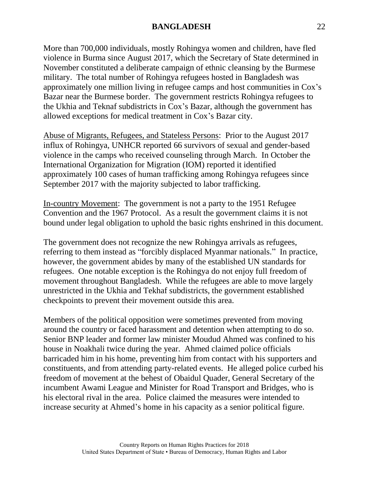More than 700,000 individuals, mostly Rohingya women and children, have fled violence in Burma since August 2017, which the Secretary of State determined in November constituted a deliberate campaign of ethnic cleansing by the Burmese military. The total number of Rohingya refugees hosted in Bangladesh was approximately one million living in refugee camps and host communities in Cox's Bazar near the Burmese border. The government restricts Rohingya refugees to the Ukhia and Teknaf subdistricts in Cox's Bazar, although the government has allowed exceptions for medical treatment in Cox's Bazar city.

Abuse of Migrants, Refugees, and Stateless Persons: Prior to the August 2017 influx of Rohingya, UNHCR reported 66 survivors of sexual and gender-based violence in the camps who received counseling through March. In October the International Organization for Migration (IOM) reported it identified approximately 100 cases of human trafficking among Rohingya refugees since September 2017 with the majority subjected to labor trafficking.

In-country Movement: The government is not a party to the 1951 Refugee Convention and the 1967 Protocol. As a result the government claims it is not bound under legal obligation to uphold the basic rights enshrined in this document.

The government does not recognize the new Rohingya arrivals as refugees, referring to them instead as "forcibly displaced Myanmar nationals." In practice, however, the government abides by many of the established UN standards for refugees. One notable exception is the Rohingya do not enjoy full freedom of movement throughout Bangladesh. While the refugees are able to move largely unrestricted in the Ukhia and Tekhaf subdistricts, the government established checkpoints to prevent their movement outside this area.

Members of the political opposition were sometimes prevented from moving around the country or faced harassment and detention when attempting to do so. Senior BNP leader and former law minister Moudud Ahmed was confined to his house in Noakhali twice during the year. Ahmed claimed police officials barricaded him in his home, preventing him from contact with his supporters and constituents, and from attending party-related events. He alleged police curbed his freedom of movement at the behest of Obaidul Quader, General Secretary of the incumbent Awami League and Minister for Road Transport and Bridges, who is his electoral rival in the area. Police claimed the measures were intended to increase security at Ahmed's home in his capacity as a senior political figure.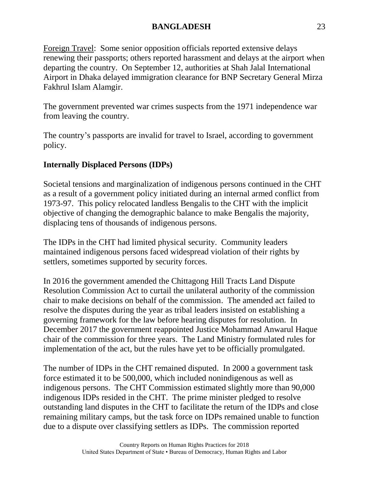Foreign Travel: Some senior opposition officials reported extensive delays renewing their passports; others reported harassment and delays at the airport when departing the country. On September 12, authorities at Shah Jalal International Airport in Dhaka delayed immigration clearance for BNP Secretary General Mirza Fakhrul Islam Alamgir.

The government prevented war crimes suspects from the 1971 independence war from leaving the country.

The country's passports are invalid for travel to Israel, according to government policy.

## **Internally Displaced Persons (IDPs)**

Societal tensions and marginalization of indigenous persons continued in the CHT as a result of a government policy initiated during an internal armed conflict from 1973-97. This policy relocated landless Bengalis to the CHT with the implicit objective of changing the demographic balance to make Bengalis the majority, displacing tens of thousands of indigenous persons.

The IDPs in the CHT had limited physical security. Community leaders maintained indigenous persons faced widespread violation of their rights by settlers, sometimes supported by security forces.

In 2016 the government amended the Chittagong Hill Tracts Land Dispute Resolution Commission Act to curtail the unilateral authority of the commission chair to make decisions on behalf of the commission. The amended act failed to resolve the disputes during the year as tribal leaders insisted on establishing a governing framework for the law before hearing disputes for resolution. In December 2017 the government reappointed Justice Mohammad Anwarul Haque chair of the commission for three years. The Land Ministry formulated rules for implementation of the act, but the rules have yet to be officially promulgated.

The number of IDPs in the CHT remained disputed. In 2000 a government task force estimated it to be 500,000, which included nonindigenous as well as indigenous persons. The CHT Commission estimated slightly more than 90,000 indigenous IDPs resided in the CHT. The prime minister pledged to resolve outstanding land disputes in the CHT to facilitate the return of the IDPs and close remaining military camps, but the task force on IDPs remained unable to function due to a dispute over classifying settlers as IDPs. The commission reported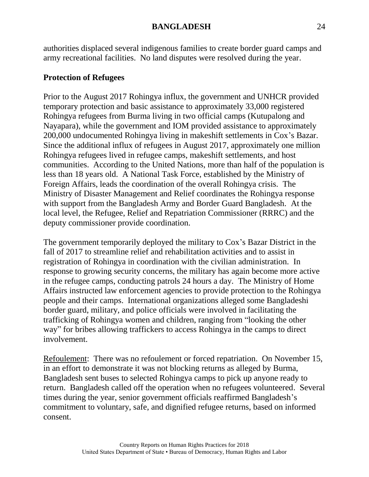authorities displaced several indigenous families to create border guard camps and army recreational facilities. No land disputes were resolved during the year.

## **Protection of Refugees**

Prior to the August 2017 Rohingya influx, the government and UNHCR provided temporary protection and basic assistance to approximately 33,000 registered Rohingya refugees from Burma living in two official camps (Kutupalong and Nayapara), while the government and IOM provided assistance to approximately 200,000 undocumented Rohingya living in makeshift settlements in Cox's Bazar. Since the additional influx of refugees in August 2017, approximately one million Rohingya refugees lived in refugee camps, makeshift settlements, and host communities. According to the United Nations, more than half of the population is less than 18 years old. A National Task Force, established by the Ministry of Foreign Affairs, leads the coordination of the overall Rohingya crisis. The Ministry of Disaster Management and Relief coordinates the Rohingya response with support from the Bangladesh Army and Border Guard Bangladesh. At the local level, the Refugee, Relief and Repatriation Commissioner (RRRC) and the deputy commissioner provide coordination.

The government temporarily deployed the military to Cox's Bazar District in the fall of 2017 to streamline relief and rehabilitation activities and to assist in registration of Rohingya in coordination with the civilian administration. In response to growing security concerns, the military has again become more active in the refugee camps, conducting patrols 24 hours a day. The Ministry of Home Affairs instructed law enforcement agencies to provide protection to the Rohingya people and their camps. International organizations alleged some Bangladeshi border guard, military, and police officials were involved in facilitating the trafficking of Rohingya women and children, ranging from "looking the other way" for bribes allowing traffickers to access Rohingya in the camps to direct involvement.

Refoulement: There was no refoulement or forced repatriation. On November 15, in an effort to demonstrate it was not blocking returns as alleged by Burma, Bangladesh sent buses to selected Rohingya camps to pick up anyone ready to return. Bangladesh called off the operation when no refugees volunteered. Several times during the year, senior government officials reaffirmed Bangladesh's commitment to voluntary, safe, and dignified refugee returns, based on informed consent.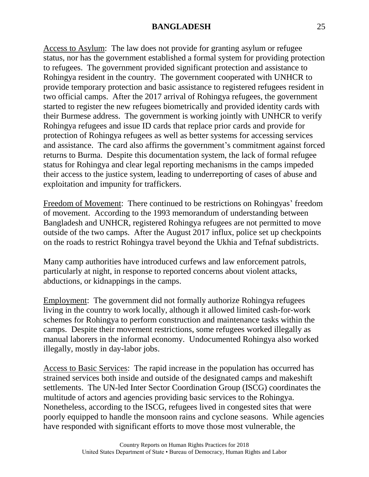Access to Asylum: The law does not provide for granting asylum or refugee status, nor has the government established a formal system for providing protection to refugees. The government provided significant protection and assistance to Rohingya resident in the country. The government cooperated with UNHCR to provide temporary protection and basic assistance to registered refugees resident in two official camps. After the 2017 arrival of Rohingya refugees, the government started to register the new refugees biometrically and provided identity cards with their Burmese address. The government is working jointly with UNHCR to verify Rohingya refugees and issue ID cards that replace prior cards and provide for protection of Rohingya refugees as well as better systems for accessing services and assistance. The card also affirms the government's commitment against forced returns to Burma. Despite this documentation system, the lack of formal refugee status for Rohingya and clear legal reporting mechanisms in the camps impeded their access to the justice system, leading to underreporting of cases of abuse and exploitation and impunity for traffickers.

Freedom of Movement: There continued to be restrictions on Rohingyas' freedom of movement. According to the 1993 memorandum of understanding between Bangladesh and UNHCR, registered Rohingya refugees are not permitted to move outside of the two camps. After the August 2017 influx, police set up checkpoints on the roads to restrict Rohingya travel beyond the Ukhia and Tefnaf subdistricts.

Many camp authorities have introduced curfews and law enforcement patrols, particularly at night, in response to reported concerns about violent attacks, abductions, or kidnappings in the camps.

Employment: The government did not formally authorize Rohingya refugees living in the country to work locally, although it allowed limited cash-for-work schemes for Rohingya to perform construction and maintenance tasks within the camps. Despite their movement restrictions, some refugees worked illegally as manual laborers in the informal economy. Undocumented Rohingya also worked illegally, mostly in day-labor jobs.

Access to Basic Services: The rapid increase in the population has occurred has strained services both inside and outside of the designated camps and makeshift settlements. The UN-led Inter Sector Coordination Group (ISCG) coordinates the multitude of actors and agencies providing basic services to the Rohingya. Nonetheless, according to the ISCG, refugees lived in congested sites that were poorly equipped to handle the monsoon rains and cyclone seasons. While agencies have responded with significant efforts to move those most vulnerable, the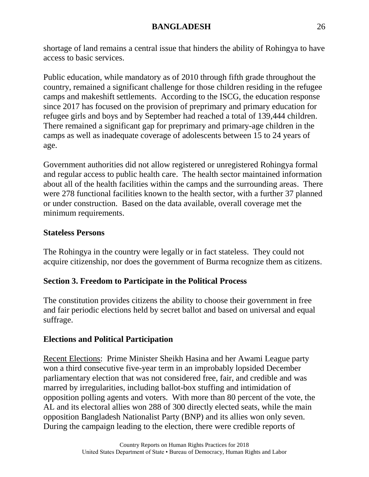shortage of land remains a central issue that hinders the ability of Rohingya to have access to basic services.

Public education, while mandatory as of 2010 through fifth grade throughout the country, remained a significant challenge for those children residing in the refugee camps and makeshift settlements. According to the ISCG, the education response since 2017 has focused on the provision of preprimary and primary education for refugee girls and boys and by September had reached a total of 139,444 children. There remained a significant gap for preprimary and primary-age children in the camps as well as inadequate coverage of adolescents between 15 to 24 years of age.

Government authorities did not allow registered or unregistered Rohingya formal and regular access to public health care. The health sector maintained information about all of the health facilities within the camps and the surrounding areas. There were 278 functional facilities known to the health sector, with a further 37 planned or under construction. Based on the data available, overall coverage met the minimum requirements.

## **Stateless Persons**

The Rohingya in the country were legally or in fact stateless. They could not acquire citizenship, nor does the government of Burma recognize them as citizens.

# **Section 3. Freedom to Participate in the Political Process**

The constitution provides citizens the ability to choose their government in free and fair periodic elections held by secret ballot and based on universal and equal suffrage.

# **Elections and Political Participation**

Recent Elections: Prime Minister Sheikh Hasina and her Awami League party won a third consecutive five-year term in an improbably lopsided December parliamentary election that was not considered free, fair, and credible and was marred by irregularities, including ballot-box stuffing and intimidation of opposition polling agents and voters. With more than 80 percent of the vote, the AL and its electoral allies won 288 of 300 directly elected seats, while the main opposition Bangladesh Nationalist Party (BNP) and its allies won only seven. During the campaign leading to the election, there were credible reports of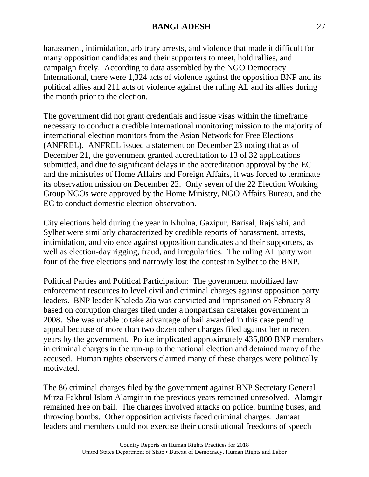harassment, intimidation, arbitrary arrests, and violence that made it difficult for many opposition candidates and their supporters to meet, hold rallies, and campaign freely. According to data assembled by the NGO Democracy International, there were 1,324 acts of violence against the opposition BNP and its political allies and 211 acts of violence against the ruling AL and its allies during the month prior to the election.

The government did not grant credentials and issue visas within the timeframe necessary to conduct a credible international monitoring mission to the majority of international election monitors from the Asian Network for Free Elections (ANFREL). ANFREL issued a statement on December 23 noting that as of December 21, the government granted accreditation to 13 of 32 applications submitted, and due to significant delays in the accreditation approval by the EC and the ministries of Home Affairs and Foreign Affairs, it was forced to terminate its observation mission on December 22. Only seven of the 22 Election Working Group NGOs were approved by the Home Ministry, NGO Affairs Bureau, and the EC to conduct domestic election observation.

City elections held during the year in Khulna, Gazipur, Barisal, Rajshahi, and Sylhet were similarly characterized by credible reports of harassment, arrests, intimidation, and violence against opposition candidates and their supporters, as well as election-day rigging, fraud, and irregularities. The ruling AL party won four of the five elections and narrowly lost the contest in Sylhet to the BNP.

Political Parties and Political Participation: The government mobilized law enforcement resources to level civil and criminal charges against opposition party leaders. BNP leader Khaleda Zia was convicted and imprisoned on February 8 based on corruption charges filed under a nonpartisan caretaker government in 2008. She was unable to take advantage of bail awarded in this case pending appeal because of more than two dozen other charges filed against her in recent years by the government. Police implicated approximately 435,000 BNP members in criminal charges in the run-up to the national election and detained many of the accused. Human rights observers claimed many of these charges were politically motivated.

The 86 criminal charges filed by the government against BNP Secretary General Mirza Fakhrul Islam Alamgir in the previous years remained unresolved. Alamgir remained free on bail. The charges involved attacks on police, burning buses, and throwing bombs. Other opposition activists faced criminal charges. Jamaat leaders and members could not exercise their constitutional freedoms of speech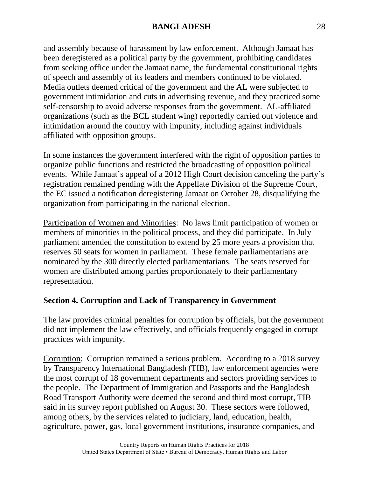and assembly because of harassment by law enforcement. Although Jamaat has been deregistered as a political party by the government, prohibiting candidates from seeking office under the Jamaat name, the fundamental constitutional rights of speech and assembly of its leaders and members continued to be violated. Media outlets deemed critical of the government and the AL were subjected to government intimidation and cuts in advertising revenue, and they practiced some self-censorship to avoid adverse responses from the government. AL-affiliated organizations (such as the BCL student wing) reportedly carried out violence and intimidation around the country with impunity, including against individuals affiliated with opposition groups.

In some instances the government interfered with the right of opposition parties to organize public functions and restricted the broadcasting of opposition political events. While Jamaat's appeal of a 2012 High Court decision canceling the party's registration remained pending with the Appellate Division of the Supreme Court, the EC issued a notification deregistering Jamaat on October 28, disqualifying the organization from participating in the national election.

Participation of Women and Minorities: No laws limit participation of women or members of minorities in the political process, and they did participate. In July parliament amended the constitution to extend by 25 more years a provision that reserves 50 seats for women in parliament. These female parliamentarians are nominated by the 300 directly elected parliamentarians. The seats reserved for women are distributed among parties proportionately to their parliamentary representation.

## **Section 4. Corruption and Lack of Transparency in Government**

The law provides criminal penalties for corruption by officials, but the government did not implement the law effectively, and officials frequently engaged in corrupt practices with impunity.

Corruption: Corruption remained a serious problem. According to a 2018 survey by Transparency International Bangladesh (TIB), law enforcement agencies were the most corrupt of 18 government departments and sectors providing services to the people. The Department of Immigration and Passports and the Bangladesh Road Transport Authority were deemed the second and third most corrupt, TIB said in its survey report published on August 30. These sectors were followed, among others, by the services related to judiciary, land, education, health, agriculture, power, gas, local government institutions, insurance companies, and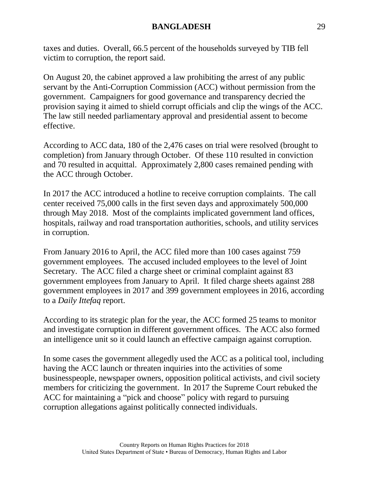taxes and duties. Overall, 66.5 percent of the households surveyed by TIB fell victim to corruption, the report said.

On August 20, the cabinet approved a law prohibiting the arrest of any public servant by the Anti-Corruption Commission (ACC) without permission from the government. Campaigners for good governance and transparency decried the provision saying it aimed to shield corrupt officials and clip the wings of the ACC. The law still needed parliamentary approval and presidential assent to become effective.

According to ACC data, 180 of the 2,476 cases on trial were resolved (brought to completion) from January through October. Of these 110 resulted in conviction and 70 resulted in acquittal. Approximately 2,800 cases remained pending with the ACC through October.

In 2017 the ACC introduced a hotline to receive corruption complaints. The call center received 75,000 calls in the first seven days and approximately 500,000 through May 2018. Most of the complaints implicated government land offices, hospitals, railway and road transportation authorities, schools, and utility services in corruption.

From January 2016 to April, the ACC filed more than 100 cases against 759 government employees. The accused included employees to the level of Joint Secretary. The ACC filed a charge sheet or criminal complaint against 83 government employees from January to April. It filed charge sheets against 288 government employees in 2017 and 399 government employees in 2016, according to a *Daily Ittefaq* report.

According to its strategic plan for the year, the ACC formed 25 teams to monitor and investigate corruption in different government offices. The ACC also formed an intelligence unit so it could launch an effective campaign against corruption.

In some cases the government allegedly used the ACC as a political tool, including having the ACC launch or threaten inquiries into the activities of some businesspeople, newspaper owners, opposition political activists, and civil society members for criticizing the government. In 2017 the Supreme Court rebuked the ACC for maintaining a "pick and choose" policy with regard to pursuing corruption allegations against politically connected individuals.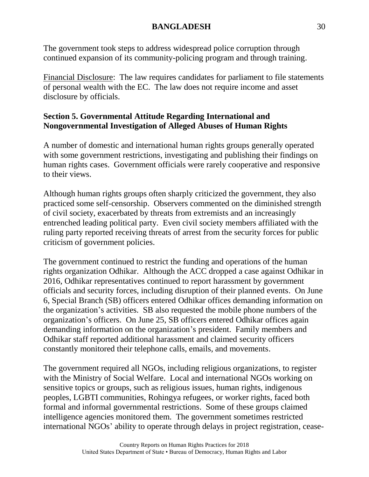The government took steps to address widespread police corruption through continued expansion of its community-policing program and through training.

Financial Disclosure: The law requires candidates for parliament to file statements of personal wealth with the EC. The law does not require income and asset disclosure by officials.

## **Section 5. Governmental Attitude Regarding International and Nongovernmental Investigation of Alleged Abuses of Human Rights**

A number of domestic and international human rights groups generally operated with some government restrictions, investigating and publishing their findings on human rights cases. Government officials were rarely cooperative and responsive to their views.

Although human rights groups often sharply criticized the government, they also practiced some self-censorship. Observers commented on the diminished strength of civil society, exacerbated by threats from extremists and an increasingly entrenched leading political party. Even civil society members affiliated with the ruling party reported receiving threats of arrest from the security forces for public criticism of government policies.

The government continued to restrict the funding and operations of the human rights organization Odhikar. Although the ACC dropped a case against Odhikar in 2016, Odhikar representatives continued to report harassment by government officials and security forces, including disruption of their planned events. On June 6, Special Branch (SB) officers entered Odhikar offices demanding information on the organization's activities. SB also requested the mobile phone numbers of the organization's officers. On June 25, SB officers entered Odhikar offices again demanding information on the organization's president. Family members and Odhikar staff reported additional harassment and claimed security officers constantly monitored their telephone calls, emails, and movements.

The government required all NGOs, including religious organizations, to register with the Ministry of Social Welfare. Local and international NGOs working on sensitive topics or groups, such as religious issues, human rights, indigenous peoples, LGBTI communities, Rohingya refugees, or worker rights, faced both formal and informal governmental restrictions. Some of these groups claimed intelligence agencies monitored them. The government sometimes restricted international NGOs' ability to operate through delays in project registration, cease-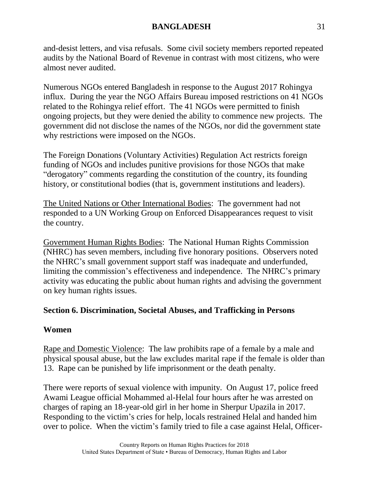and-desist letters, and visa refusals. Some civil society members reported repeated audits by the National Board of Revenue in contrast with most citizens, who were almost never audited.

Numerous NGOs entered Bangladesh in response to the August 2017 Rohingya influx. During the year the NGO Affairs Bureau imposed restrictions on 41 NGOs related to the Rohingya relief effort. The 41 NGOs were permitted to finish ongoing projects, but they were denied the ability to commence new projects. The government did not disclose the names of the NGOs, nor did the government state why restrictions were imposed on the NGOs.

The Foreign Donations (Voluntary Activities) Regulation Act restricts foreign funding of NGOs and includes punitive provisions for those NGOs that make "derogatory" comments regarding the constitution of the country, its founding history, or constitutional bodies (that is, government institutions and leaders).

The United Nations or Other International Bodies: The government had not responded to a UN Working Group on Enforced Disappearances request to visit the country.

Government Human Rights Bodies: The National Human Rights Commission (NHRC) has seven members, including five honorary positions. Observers noted the NHRC's small government support staff was inadequate and underfunded, limiting the commission's effectiveness and independence. The NHRC's primary activity was educating the public about human rights and advising the government on key human rights issues.

## **Section 6. Discrimination, Societal Abuses, and Trafficking in Persons**

### **Women**

Rape and Domestic Violence: The law prohibits rape of a female by a male and physical spousal abuse, but the law excludes marital rape if the female is older than 13. Rape can be punished by life imprisonment or the death penalty.

There were reports of sexual violence with impunity. On August 17, police freed Awami League official Mohammed al-Helal four hours after he was arrested on charges of raping an 18-year-old girl in her home in Sherpur Upazila in 2017. Responding to the victim's cries for help, locals restrained Helal and handed him over to police. When the victim's family tried to file a case against Helal, Officer-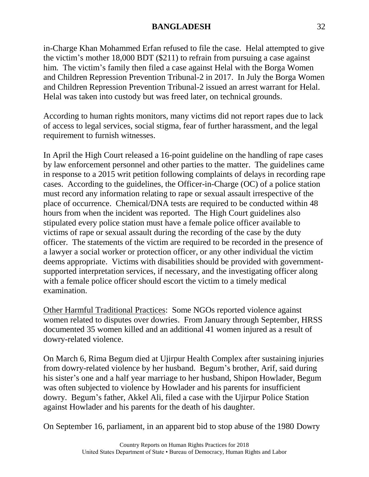in-Charge Khan Mohammed Erfan refused to file the case. Helal attempted to give the victim's mother 18,000 BDT (\$211) to refrain from pursuing a case against him. The victim's family then filed a case against Helal with the Borga Women and Children Repression Prevention Tribunal-2 in 2017. In July the Borga Women and Children Repression Prevention Tribunal-2 issued an arrest warrant for Helal. Helal was taken into custody but was freed later, on technical grounds.

According to human rights monitors, many victims did not report rapes due to lack of access to legal services, social stigma, fear of further harassment, and the legal requirement to furnish witnesses.

In April the High Court released a 16-point guideline on the handling of rape cases by law enforcement personnel and other parties to the matter. The guidelines came in response to a 2015 writ petition following complaints of delays in recording rape cases. According to the guidelines, the Officer-in-Charge (OC) of a police station must record any information relating to rape or sexual assault irrespective of the place of occurrence. Chemical/DNA tests are required to be conducted within 48 hours from when the incident was reported. The High Court guidelines also stipulated every police station must have a female police officer available to victims of rape or sexual assault during the recording of the case by the duty officer. The statements of the victim are required to be recorded in the presence of a lawyer a social worker or protection officer, or any other individual the victim deems appropriate. Victims with disabilities should be provided with governmentsupported interpretation services, if necessary, and the investigating officer along with a female police officer should escort the victim to a timely medical examination.

Other Harmful Traditional Practices: Some NGOs reported violence against women related to disputes over dowries. From January through September, HRSS documented 35 women killed and an additional 41 women injured as a result of dowry-related violence.

On March 6, Rima Begum died at Ujirpur Health Complex after sustaining injuries from dowry-related violence by her husband. Begum's brother, Arif, said during his sister's one and a half year marriage to her husband, Shipon Howlader, Begum was often subjected to violence by Howlader and his parents for insufficient dowry. Begum's father, Akkel Ali, filed a case with the Ujirpur Police Station against Howlader and his parents for the death of his daughter.

On September 16, parliament, in an apparent bid to stop abuse of the 1980 Dowry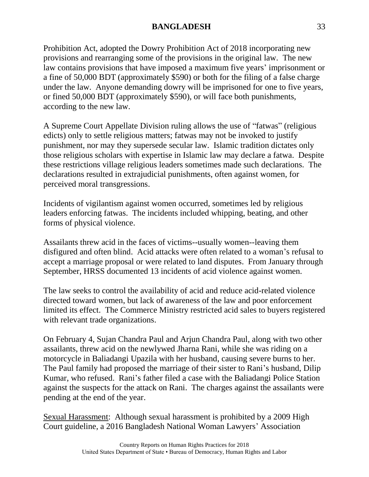Prohibition Act, adopted the Dowry Prohibition Act of 2018 incorporating new provisions and rearranging some of the provisions in the original law. The new law contains provisions that have imposed a maximum five years' imprisonment or a fine of 50,000 BDT (approximately \$590) or both for the filing of a false charge under the law. Anyone demanding dowry will be imprisoned for one to five years, or fined 50,000 BDT (approximately \$590), or will face both punishments, according to the new law.

A Supreme Court Appellate Division ruling allows the use of "fatwas" (religious edicts) only to settle religious matters; fatwas may not be invoked to justify punishment, nor may they supersede secular law. Islamic tradition dictates only those religious scholars with expertise in Islamic law may declare a fatwa. Despite these restrictions village religious leaders sometimes made such declarations. The declarations resulted in extrajudicial punishments, often against women, for perceived moral transgressions.

Incidents of vigilantism against women occurred, sometimes led by religious leaders enforcing fatwas. The incidents included whipping, beating, and other forms of physical violence.

Assailants threw acid in the faces of victims--usually women--leaving them disfigured and often blind. Acid attacks were often related to a woman's refusal to accept a marriage proposal or were related to land disputes. From January through September, HRSS documented 13 incidents of acid violence against women.

The law seeks to control the availability of acid and reduce acid-related violence directed toward women, but lack of awareness of the law and poor enforcement limited its effect. The Commerce Ministry restricted acid sales to buyers registered with relevant trade organizations.

On February 4, Sujan Chandra Paul and Arjun Chandra Paul, along with two other assailants, threw acid on the newlywed Jharna Rani, while she was riding on a motorcycle in Baliadangi Upazila with her husband, causing severe burns to her. The Paul family had proposed the marriage of their sister to Rani's husband, Dilip Kumar, who refused. Rani's father filed a case with the Baliadangi Police Station against the suspects for the attack on Rani. The charges against the assailants were pending at the end of the year.

Sexual Harassment: Although sexual harassment is prohibited by a 2009 High Court guideline, a 2016 Bangladesh National Woman Lawyers' Association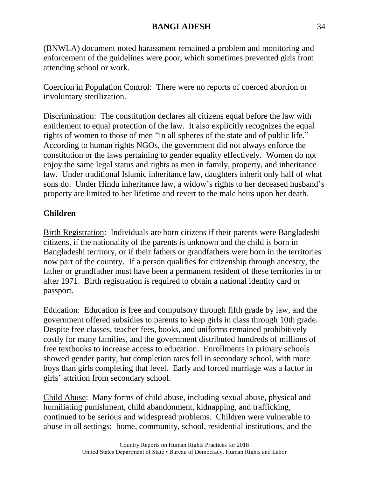(BNWLA) document noted harassment remained a problem and monitoring and enforcement of the guidelines were poor, which sometimes prevented girls from attending school or work.

Coercion in Population Control: There were no reports of coerced abortion or involuntary sterilization.

Discrimination: The constitution declares all citizens equal before the law with entitlement to equal protection of the law. It also explicitly recognizes the equal rights of women to those of men "in all spheres of the state and of public life." According to human rights NGOs, the government did not always enforce the constitution or the laws pertaining to gender equality effectively. Women do not enjoy the same legal status and rights as men in family, property, and inheritance law. Under traditional Islamic inheritance law, daughters inherit only half of what sons do. Under Hindu inheritance law, a widow's rights to her deceased husband's property are limited to her lifetime and revert to the male heirs upon her death.

## **Children**

Birth Registration: Individuals are born citizens if their parents were Bangladeshi citizens, if the nationality of the parents is unknown and the child is born in Bangladeshi territory, or if their fathers or grandfathers were born in the territories now part of the country. If a person qualifies for citizenship through ancestry, the father or grandfather must have been a permanent resident of these territories in or after 1971. Birth registration is required to obtain a national identity card or passport.

Education: Education is free and compulsory through fifth grade by law, and the government offered subsidies to parents to keep girls in class through 10th grade. Despite free classes, teacher fees, books, and uniforms remained prohibitively costly for many families, and the government distributed hundreds of millions of free textbooks to increase access to education. Enrollments in primary schools showed gender parity, but completion rates fell in secondary school, with more boys than girls completing that level. Early and forced marriage was a factor in girls' attrition from secondary school.

Child Abuse: Many forms of child abuse, including sexual abuse, physical and humiliating punishment, child abandonment, kidnapping, and trafficking, continued to be serious and widespread problems. Children were vulnerable to abuse in all settings: home, community, school, residential institutions, and the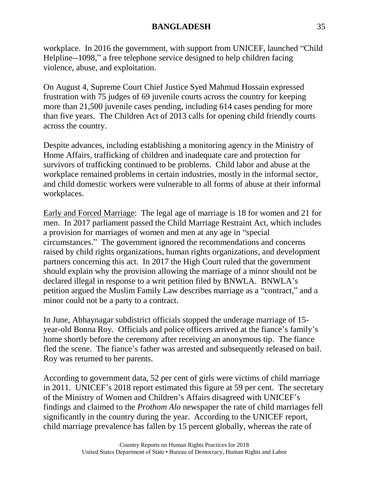workplace. In 2016 the government, with support from UNICEF, launched "Child Helpline--1098," a free telephone service designed to help children facing violence, abuse, and exploitation.

On August 4, Supreme Court Chief Justice Syed Mahmud Hossain expressed frustration with 75 judges of 69 juvenile courts across the country for keeping more than 21,500 juvenile cases pending, including 614 cases pending for more than five years. The Children Act of 2013 calls for opening child friendly courts across the country.

Despite advances, including establishing a monitoring agency in the Ministry of Home Affairs, trafficking of children and inadequate care and protection for survivors of trafficking continued to be problems. Child labor and abuse at the workplace remained problems in certain industries, mostly in the informal sector, and child domestic workers were vulnerable to all forms of abuse at their informal workplaces.

Early and Forced Marriage: The legal age of marriage is 18 for women and 21 for men. In 2017 parliament passed the Child Marriage Restraint Act, which includes a provision for marriages of women and men at any age in "special circumstances." The government ignored the recommendations and concerns raised by child rights organizations, human rights organizations, and development partners concerning this act. In 2017 the High Court ruled that the government should explain why the provision allowing the marriage of a minor should not be declared illegal in response to a writ petition filed by BNWLA. BNWLA's petition argued the Muslim Family Law describes marriage as a "contract," and a minor could not be a party to a contract.

In June, Abhaynagar subdistrict officials stopped the underage marriage of 15 year-old Bonna Roy. Officials and police officers arrived at the fiance's family's home shortly before the ceremony after receiving an anonymous tip. The fiance fled the scene. The fiance's father was arrested and subsequently released on bail. Roy was returned to her parents.

According to government data, 52 per cent of girls were victims of child marriage in 2011. UNICEF's 2018 report estimated this figure at 59 per cent. The secretary of the Ministry of Women and Children's Affairs disagreed with UNICEF's findings and claimed to the *Prothom Alo* newspaper the rate of child marriages fell significantly in the country during the year. According to the UNICEF report, child marriage prevalence has fallen by 15 percent globally, whereas the rate of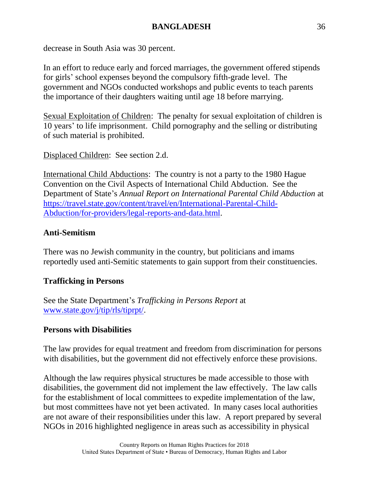decrease in South Asia was 30 percent.

In an effort to reduce early and forced marriages, the government offered stipends for girls' school expenses beyond the compulsory fifth-grade level. The government and NGOs conducted workshops and public events to teach parents the importance of their daughters waiting until age 18 before marrying.

Sexual Exploitation of Children: The penalty for sexual exploitation of children is 10 years' to life imprisonment. Child pornography and the selling or distributing of such material is prohibited.

Displaced Children: See section 2.d.

International Child Abductions: The country is not a party to the 1980 Hague Convention on the Civil Aspects of International Child Abduction. See the Department of State's *Annual Report on International Parental Child Abduction* at [https://travel.state.gov/content/travel/en/International-Parental-Child-](https://travel.state.gov/content/travel/en/International-Parental-Child-Abduction/for-providers/legal-reports-and-data.html)[Abduction/for-providers/legal-reports-and-data.html.](https://travel.state.gov/content/travel/en/International-Parental-Child-Abduction/for-providers/legal-reports-and-data.html)

### **Anti-Semitism**

There was no Jewish community in the country, but politicians and imams reportedly used anti-Semitic statements to gain support from their constituencies.

### **Trafficking in Persons**

See the State Department's *Trafficking in Persons Report* at [www.state.gov/j/tip/rls/tiprpt/.](http://www.state.gov/j/tip/rls/tiprpt/)

### **Persons with Disabilities**

The law provides for equal treatment and freedom from discrimination for persons with disabilities, but the government did not effectively enforce these provisions.

Although the law requires physical structures be made accessible to those with disabilities, the government did not implement the law effectively. The law calls for the establishment of local committees to expedite implementation of the law, but most committees have not yet been activated. In many cases local authorities are not aware of their responsibilities under this law. A report prepared by several NGOs in 2016 highlighted negligence in areas such as accessibility in physical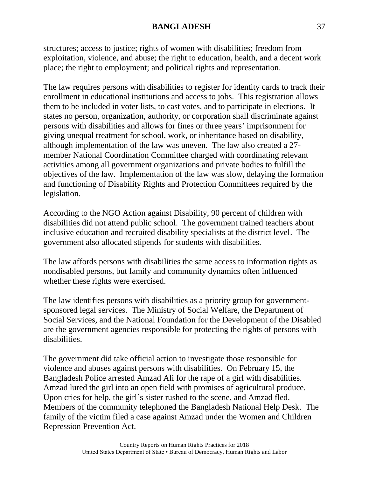structures; access to justice; rights of women with disabilities; freedom from exploitation, violence, and abuse; the right to education, health, and a decent work place; the right to employment; and political rights and representation.

The law requires persons with disabilities to register for identity cards to track their enrollment in educational institutions and access to jobs. This registration allows them to be included in voter lists, to cast votes, and to participate in elections. It states no person, organization, authority, or corporation shall discriminate against persons with disabilities and allows for fines or three years' imprisonment for giving unequal treatment for school, work, or inheritance based on disability, although implementation of the law was uneven. The law also created a 27 member National Coordination Committee charged with coordinating relevant activities among all government organizations and private bodies to fulfill the objectives of the law. Implementation of the law was slow, delaying the formation and functioning of Disability Rights and Protection Committees required by the legislation.

According to the NGO Action against Disability, 90 percent of children with disabilities did not attend public school. The government trained teachers about inclusive education and recruited disability specialists at the district level. The government also allocated stipends for students with disabilities.

The law affords persons with disabilities the same access to information rights as nondisabled persons, but family and community dynamics often influenced whether these rights were exercised.

The law identifies persons with disabilities as a priority group for governmentsponsored legal services. The Ministry of Social Welfare, the Department of Social Services, and the National Foundation for the Development of the Disabled are the government agencies responsible for protecting the rights of persons with disabilities.

The government did take official action to investigate those responsible for violence and abuses against persons with disabilities. On February 15, the Bangladesh Police arrested Amzad Ali for the rape of a girl with disabilities. Amzad lured the girl into an open field with promises of agricultural produce. Upon cries for help, the girl's sister rushed to the scene, and Amzad fled. Members of the community telephoned the Bangladesh National Help Desk. The family of the victim filed a case against Amzad under the Women and Children Repression Prevention Act.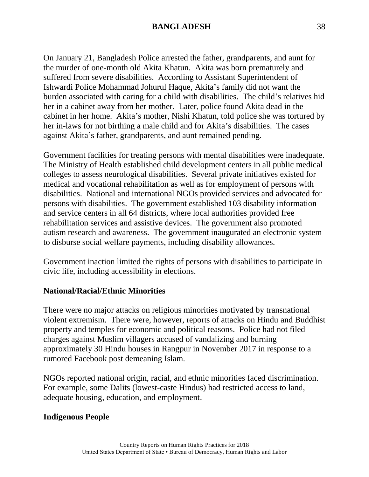On January 21, Bangladesh Police arrested the father, grandparents, and aunt for the murder of one-month old Akita Khatun. Akita was born prematurely and suffered from severe disabilities. According to Assistant Superintendent of Ishwardi Police Mohammad Johurul Haque, Akita's family did not want the burden associated with caring for a child with disabilities. The child's relatives hid her in a cabinet away from her mother. Later, police found Akita dead in the cabinet in her home. Akita's mother, Nishi Khatun, told police she was tortured by her in-laws for not birthing a male child and for Akita's disabilities. The cases against Akita's father, grandparents, and aunt remained pending.

Government facilities for treating persons with mental disabilities were inadequate. The Ministry of Health established child development centers in all public medical colleges to assess neurological disabilities. Several private initiatives existed for medical and vocational rehabilitation as well as for employment of persons with disabilities. National and international NGOs provided services and advocated for persons with disabilities. The government established 103 disability information and service centers in all 64 districts, where local authorities provided free rehabilitation services and assistive devices. The government also promoted autism research and awareness. The government inaugurated an electronic system to disburse social welfare payments, including disability allowances.

Government inaction limited the rights of persons with disabilities to participate in civic life, including accessibility in elections.

### **National/Racial/Ethnic Minorities**

There were no major attacks on religious minorities motivated by transnational violent extremism. There were, however, reports of attacks on Hindu and Buddhist property and temples for economic and political reasons. Police had not filed charges against Muslim villagers accused of vandalizing and burning approximately 30 Hindu houses in Rangpur in November 2017 in response to a rumored Facebook post demeaning Islam.

NGOs reported national origin, racial, and ethnic minorities faced discrimination. For example, some Dalits (lowest-caste Hindus) had restricted access to land, adequate housing, education, and employment.

### **Indigenous People**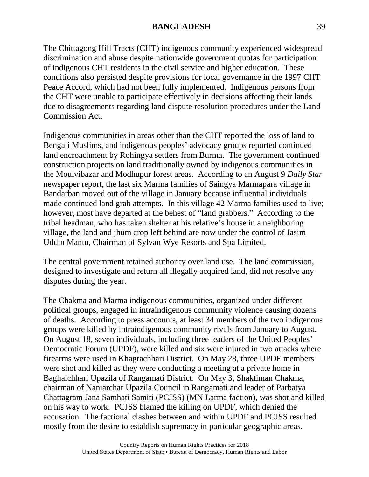The Chittagong Hill Tracts (CHT) indigenous community experienced widespread discrimination and abuse despite nationwide government quotas for participation of indigenous CHT residents in the civil service and higher education. These conditions also persisted despite provisions for local governance in the 1997 CHT Peace Accord, which had not been fully implemented. Indigenous persons from the CHT were unable to participate effectively in decisions affecting their lands due to disagreements regarding land dispute resolution procedures under the Land Commission Act.

Indigenous communities in areas other than the CHT reported the loss of land to Bengali Muslims, and indigenous peoples' advocacy groups reported continued land encroachment by Rohingya settlers from Burma. The government continued construction projects on land traditionally owned by indigenous communities in the Moulvibazar and Modhupur forest areas. According to an August 9 *Daily Star* newspaper report, the last six Marma families of Saingya Marmapara village in Bandarban moved out of the village in January because influential individuals made continued land grab attempts. In this village 42 Marma families used to live; however, most have departed at the behest of "land grabbers." According to the tribal headman, who has taken shelter at his relative's house in a neighboring village, the land and jhum crop left behind are now under the control of Jasim Uddin Mantu, Chairman of Sylvan Wye Resorts and Spa Limited.

The central government retained authority over land use. The land commission, designed to investigate and return all illegally acquired land, did not resolve any disputes during the year.

The Chakma and Marma indigenous communities, organized under different political groups, engaged in intraindigenous community violence causing dozens of deaths. According to press accounts, at least 34 members of the two indigenous groups were killed by intraindigenous community rivals from January to August. On August 18, seven individuals, including three leaders of the United Peoples' Democratic Forum (UPDF), were killed and six were injured in two attacks where firearms were used in Khagrachhari District. On May 28, three UPDF members were shot and killed as they were conducting a meeting at a private home in Baghaichhari Upazila of Rangamati District. On May 3, Shaktiman Chakma, chairman of Naniarchar Upazila Council in Rangamati and leader of Parbatya Chattagram Jana Samhati Samiti (PCJSS) (MN Larma faction), was shot and killed on his way to work. PCJSS blamed the killing on UPDF, which denied the accusation. The factional clashes between and within UPDF and PCJSS resulted mostly from the desire to establish supremacy in particular geographic areas.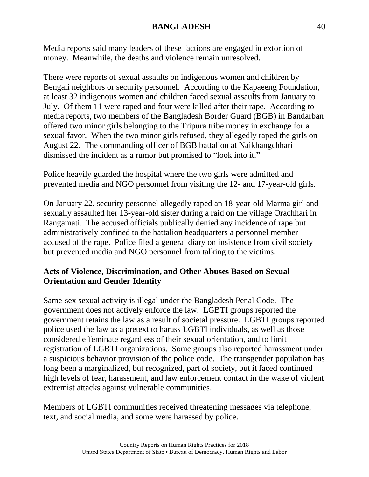Media reports said many leaders of these factions are engaged in extortion of money. Meanwhile, the deaths and violence remain unresolved.

There were reports of sexual assaults on indigenous women and children by Bengali neighbors or security personnel. According to the Kapaeeng Foundation, at least 32 indigenous women and children faced sexual assaults from January to July. Of them 11 were raped and four were killed after their rape. According to media reports, two members of the Bangladesh Border Guard (BGB) in Bandarban offered two minor girls belonging to the Tripura tribe money in exchange for a sexual favor. When the two minor girls refused, they allegedly raped the girls on August 22. The commanding officer of BGB battalion at Naikhangchhari dismissed the incident as a rumor but promised to "look into it."

Police heavily guarded the hospital where the two girls were admitted and prevented media and NGO personnel from visiting the 12- and 17-year-old girls.

On January 22, security personnel allegedly raped an 18-year-old Marma girl and sexually assaulted her 13-year-old sister during a raid on the village Orachhari in Rangamati. The accused officials publically denied any incidence of rape but administratively confined to the battalion headquarters a personnel member accused of the rape. Police filed a general diary on insistence from civil society but prevented media and NGO personnel from talking to the victims.

## **Acts of Violence, Discrimination, and Other Abuses Based on Sexual Orientation and Gender Identity**

Same-sex sexual activity is illegal under the Bangladesh Penal Code. The government does not actively enforce the law. LGBTI groups reported the government retains the law as a result of societal pressure. LGBTI groups reported police used the law as a pretext to harass LGBTI individuals, as well as those considered effeminate regardless of their sexual orientation, and to limit registration of LGBTI organizations. Some groups also reported harassment under a suspicious behavior provision of the police code. The transgender population has long been a marginalized, but recognized, part of society, but it faced continued high levels of fear, harassment, and law enforcement contact in the wake of violent extremist attacks against vulnerable communities.

Members of LGBTI communities received threatening messages via telephone, text, and social media, and some were harassed by police.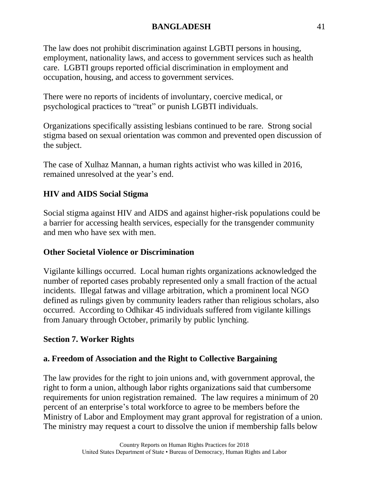The law does not prohibit discrimination against LGBTI persons in housing, employment, nationality laws, and access to government services such as health care. LGBTI groups reported official discrimination in employment and occupation, housing, and access to government services.

There were no reports of incidents of involuntary, coercive medical, or psychological practices to "treat" or punish LGBTI individuals.

Organizations specifically assisting lesbians continued to be rare. Strong social stigma based on sexual orientation was common and prevented open discussion of the subject.

The case of Xulhaz Mannan, a human rights activist who was killed in 2016, remained unresolved at the year's end.

# **HIV and AIDS Social Stigma**

Social stigma against HIV and AIDS and against higher-risk populations could be a barrier for accessing health services, especially for the transgender community and men who have sex with men.

## **Other Societal Violence or Discrimination**

Vigilante killings occurred. Local human rights organizations acknowledged the number of reported cases probably represented only a small fraction of the actual incidents. Illegal fatwas and village arbitration, which a prominent local NGO defined as rulings given by community leaders rather than religious scholars, also occurred. According to Odhikar 45 individuals suffered from vigilante killings from January through October, primarily by public lynching.

# **Section 7. Worker Rights**

# **a. Freedom of Association and the Right to Collective Bargaining**

The law provides for the right to join unions and, with government approval, the right to form a union, although labor rights organizations said that cumbersome requirements for union registration remained. The law requires a minimum of 20 percent of an enterprise's total workforce to agree to be members before the Ministry of Labor and Employment may grant approval for registration of a union. The ministry may request a court to dissolve the union if membership falls below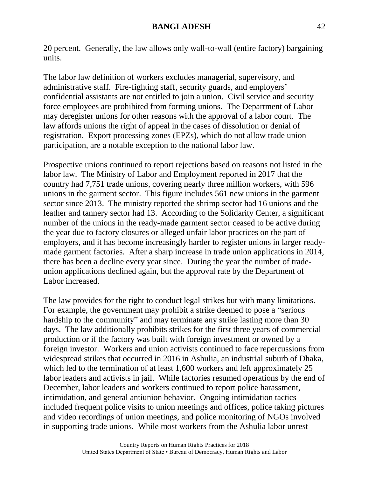20 percent. Generally, the law allows only wall-to-wall (entire factory) bargaining units.

The labor law definition of workers excludes managerial, supervisory, and administrative staff. Fire-fighting staff, security guards, and employers' confidential assistants are not entitled to join a union. Civil service and security force employees are prohibited from forming unions. The Department of Labor may deregister unions for other reasons with the approval of a labor court. The law affords unions the right of appeal in the cases of dissolution or denial of registration. Export processing zones (EPZs), which do not allow trade union participation, are a notable exception to the national labor law.

Prospective unions continued to report rejections based on reasons not listed in the labor law. The Ministry of Labor and Employment reported in 2017 that the country had 7,751 trade unions, covering nearly three million workers, with 596 unions in the garment sector. This figure includes 561 new unions in the garment sector since 2013. The ministry reported the shrimp sector had 16 unions and the leather and tannery sector had 13. According to the Solidarity Center, a significant number of the unions in the ready-made garment sector ceased to be active during the year due to factory closures or alleged unfair labor practices on the part of employers, and it has become increasingly harder to register unions in larger readymade garment factories. After a sharp increase in trade union applications in 2014, there has been a decline every year since. During the year the number of tradeunion applications declined again, but the approval rate by the Department of Labor increased.

The law provides for the right to conduct legal strikes but with many limitations. For example, the government may prohibit a strike deemed to pose a "serious hardship to the community" and may terminate any strike lasting more than 30 days. The law additionally prohibits strikes for the first three years of commercial production or if the factory was built with foreign investment or owned by a foreign investor. Workers and union activists continued to face repercussions from widespread strikes that occurred in 2016 in Ashulia, an industrial suburb of Dhaka, which led to the termination of at least 1,600 workers and left approximately 25 labor leaders and activists in jail. While factories resumed operations by the end of December, labor leaders and workers continued to report police harassment, intimidation, and general antiunion behavior. Ongoing intimidation tactics included frequent police visits to union meetings and offices, police taking pictures and video recordings of union meetings, and police monitoring of NGOs involved in supporting trade unions. While most workers from the Ashulia labor unrest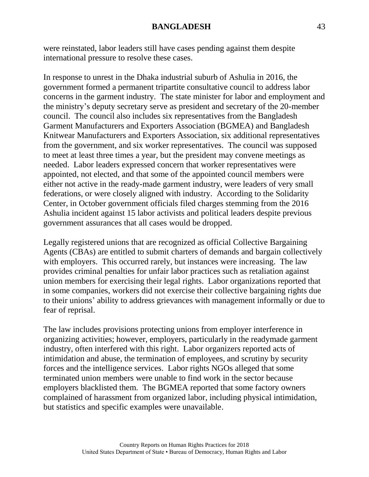were reinstated, labor leaders still have cases pending against them despite international pressure to resolve these cases.

In response to unrest in the Dhaka industrial suburb of Ashulia in 2016, the government formed a permanent tripartite consultative council to address labor concerns in the garment industry. The state minister for labor and employment and the ministry's deputy secretary serve as president and secretary of the 20-member council. The council also includes six representatives from the Bangladesh Garment Manufacturers and Exporters Association (BGMEA) and Bangladesh Knitwear Manufacturers and Exporters Association, six additional representatives from the government, and six worker representatives. The council was supposed to meet at least three times a year, but the president may convene meetings as needed. Labor leaders expressed concern that worker representatives were appointed, not elected, and that some of the appointed council members were either not active in the ready-made garment industry, were leaders of very small federations, or were closely aligned with industry. According to the Solidarity Center, in October government officials filed charges stemming from the 2016 Ashulia incident against 15 labor activists and political leaders despite previous government assurances that all cases would be dropped.

Legally registered unions that are recognized as official Collective Bargaining Agents (CBAs) are entitled to submit charters of demands and bargain collectively with employers. This occurred rarely, but instances were increasing. The law provides criminal penalties for unfair labor practices such as retaliation against union members for exercising their legal rights. Labor organizations reported that in some companies, workers did not exercise their collective bargaining rights due to their unions' ability to address grievances with management informally or due to fear of reprisal.

The law includes provisions protecting unions from employer interference in organizing activities; however, employers, particularly in the readymade garment industry, often interfered with this right. Labor organizers reported acts of intimidation and abuse, the termination of employees, and scrutiny by security forces and the intelligence services. Labor rights NGOs alleged that some terminated union members were unable to find work in the sector because employers blacklisted them. The BGMEA reported that some factory owners complained of harassment from organized labor, including physical intimidation, but statistics and specific examples were unavailable.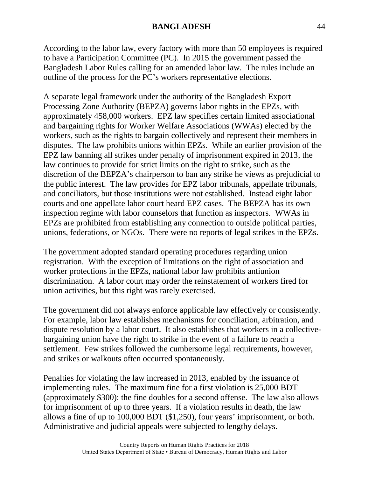According to the labor law, every factory with more than 50 employees is required to have a Participation Committee (PC). In 2015 the government passed the Bangladesh Labor Rules calling for an amended labor law. The rules include an outline of the process for the PC's workers representative elections.

A separate legal framework under the authority of the Bangladesh Export Processing Zone Authority (BEPZA) governs labor rights in the EPZs, with approximately 458,000 workers. EPZ law specifies certain limited associational and bargaining rights for Worker Welfare Associations (WWAs) elected by the workers, such as the rights to bargain collectively and represent their members in disputes. The law prohibits unions within EPZs. While an earlier provision of the EPZ law banning all strikes under penalty of imprisonment expired in 2013, the law continues to provide for strict limits on the right to strike, such as the discretion of the BEPZA's chairperson to ban any strike he views as prejudicial to the public interest. The law provides for EPZ labor tribunals, appellate tribunals, and conciliators, but those institutions were not established. Instead eight labor courts and one appellate labor court heard EPZ cases. The BEPZA has its own inspection regime with labor counselors that function as inspectors. WWAs in EPZs are prohibited from establishing any connection to outside political parties, unions, federations, or NGOs. There were no reports of legal strikes in the EPZs.

The government adopted standard operating procedures regarding union registration. With the exception of limitations on the right of association and worker protections in the EPZs, national labor law prohibits antiunion discrimination. A labor court may order the reinstatement of workers fired for union activities, but this right was rarely exercised.

The government did not always enforce applicable law effectively or consistently. For example, labor law establishes mechanisms for conciliation, arbitration, and dispute resolution by a labor court. It also establishes that workers in a collectivebargaining union have the right to strike in the event of a failure to reach a settlement. Few strikes followed the cumbersome legal requirements, however, and strikes or walkouts often occurred spontaneously.

Penalties for violating the law increased in 2013, enabled by the issuance of implementing rules. The maximum fine for a first violation is 25,000 BDT (approximately \$300); the fine doubles for a second offense. The law also allows for imprisonment of up to three years. If a violation results in death, the law allows a fine of up to 100,000 BDT (\$1,250), four years' imprisonment, or both. Administrative and judicial appeals were subjected to lengthy delays.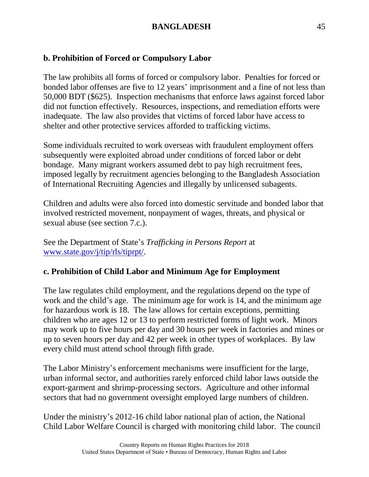## **b. Prohibition of Forced or Compulsory Labor**

The law prohibits all forms of forced or compulsory labor. Penalties for forced or bonded labor offenses are five to 12 years' imprisonment and a fine of not less than 50,000 BDT (\$625). Inspection mechanisms that enforce laws against forced labor did not function effectively. Resources, inspections, and remediation efforts were inadequate. The law also provides that victims of forced labor have access to shelter and other protective services afforded to trafficking victims.

Some individuals recruited to work overseas with fraudulent employment offers subsequently were exploited abroad under conditions of forced labor or debt bondage. Many migrant workers assumed debt to pay high recruitment fees, imposed legally by recruitment agencies belonging to the Bangladesh Association of International Recruiting Agencies and illegally by unlicensed subagents.

Children and adults were also forced into domestic servitude and bonded labor that involved restricted movement, nonpayment of wages, threats, and physical or sexual abuse (see section 7.c.).

See the Department of State's *Trafficking in Persons Report* at [www.state.gov/j/tip/rls/tiprpt/.](http://www.state.gov/j/tip/rls/tiprpt/)

# **c. Prohibition of Child Labor and Minimum Age for Employment**

The law regulates child employment, and the regulations depend on the type of work and the child's age. The minimum age for work is 14, and the minimum age for hazardous work is 18. The law allows for certain exceptions, permitting children who are ages 12 or 13 to perform restricted forms of light work. Minors may work up to five hours per day and 30 hours per week in factories and mines or up to seven hours per day and 42 per week in other types of workplaces. By law every child must attend school through fifth grade.

The Labor Ministry's enforcement mechanisms were insufficient for the large, urban informal sector, and authorities rarely enforced child labor laws outside the export-garment and shrimp-processing sectors. Agriculture and other informal sectors that had no government oversight employed large numbers of children.

Under the ministry's 2012-16 child labor national plan of action, the National Child Labor Welfare Council is charged with monitoring child labor. The council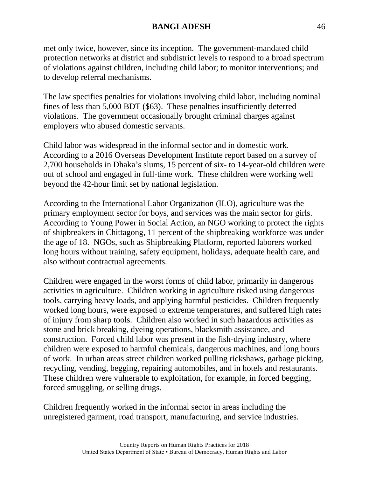met only twice, however, since its inception. The government-mandated child protection networks at district and subdistrict levels to respond to a broad spectrum of violations against children, including child labor; to monitor interventions; and to develop referral mechanisms.

The law specifies penalties for violations involving child labor, including nominal fines of less than 5,000 BDT (\$63). These penalties insufficiently deterred violations. The government occasionally brought criminal charges against employers who abused domestic servants.

Child labor was widespread in the informal sector and in domestic work. According to a 2016 Overseas Development Institute report based on a survey of 2,700 households in Dhaka's slums, 15 percent of six- to 14-year-old children were out of school and engaged in full-time work. These children were working well beyond the 42-hour limit set by national legislation.

According to the International Labor Organization (ILO), agriculture was the primary employment sector for boys, and services was the main sector for girls. According to Young Power in Social Action, an NGO working to protect the rights of shipbreakers in Chittagong, 11 percent of the shipbreaking workforce was under the age of 18. NGOs, such as Shipbreaking Platform, reported laborers worked long hours without training, safety equipment, holidays, adequate health care, and also without contractual agreements.

Children were engaged in the worst forms of child labor, primarily in dangerous activities in agriculture. Children working in agriculture risked using dangerous tools, carrying heavy loads, and applying harmful pesticides. Children frequently worked long hours, were exposed to extreme temperatures, and suffered high rates of injury from sharp tools. Children also worked in such hazardous activities as stone and brick breaking, dyeing operations, blacksmith assistance, and construction. Forced child labor was present in the fish-drying industry, where children were exposed to harmful chemicals, dangerous machines, and long hours of work. In urban areas street children worked pulling rickshaws, garbage picking, recycling, vending, begging, repairing automobiles, and in hotels and restaurants. These children were vulnerable to exploitation, for example, in forced begging, forced smuggling, or selling drugs.

Children frequently worked in the informal sector in areas including the unregistered garment, road transport, manufacturing, and service industries.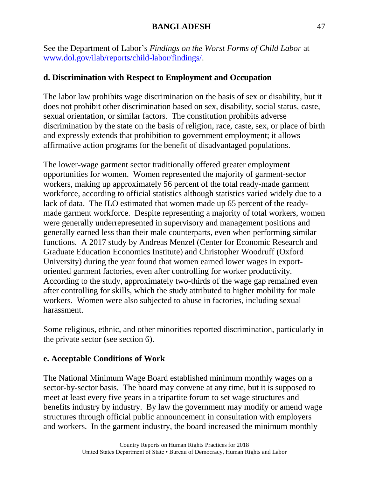See the Department of Labor's *Findings on the Worst Forms of Child Labor* at [www.dol.gov/ilab/reports/child-labor/findings/.](http://www.dol.gov/ilab/reports/child-labor/findings/)

# **d. Discrimination with Respect to Employment and Occupation**

The labor law prohibits wage discrimination on the basis of sex or disability, but it does not prohibit other discrimination based on sex, disability, social status, caste, sexual orientation, or similar factors. The constitution prohibits adverse discrimination by the state on the basis of religion, race, caste, sex, or place of birth and expressly extends that prohibition to government employment; it allows affirmative action programs for the benefit of disadvantaged populations.

The lower-wage garment sector traditionally offered greater employment opportunities for women. Women represented the majority of garment-sector workers, making up approximately 56 percent of the total ready-made garment workforce, according to official statistics although statistics varied widely due to a lack of data. The ILO estimated that women made up 65 percent of the readymade garment workforce. Despite representing a majority of total workers, women were generally underrepresented in supervisory and management positions and generally earned less than their male counterparts, even when performing similar functions. A 2017 study by Andreas Menzel (Center for Economic Research and Graduate Education Economics Institute) and Christopher Woodruff (Oxford University) during the year found that women earned lower wages in exportoriented garment factories, even after controlling for worker productivity. According to the study, approximately two-thirds of the wage gap remained even after controlling for skills, which the study attributed to higher mobility for male workers. Women were also subjected to abuse in factories, including sexual harassment.

Some religious, ethnic, and other minorities reported discrimination, particularly in the private sector (see section 6).

# **e. Acceptable Conditions of Work**

The National Minimum Wage Board established minimum monthly wages on a sector-by-sector basis. The board may convene at any time, but it is supposed to meet at least every five years in a tripartite forum to set wage structures and benefits industry by industry. By law the government may modify or amend wage structures through official public announcement in consultation with employers and workers. In the garment industry, the board increased the minimum monthly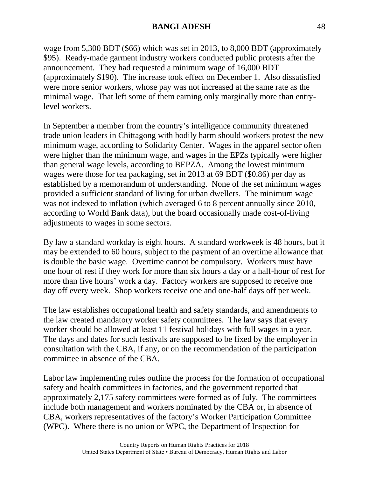wage from 5,300 BDT (\$66) which was set in 2013, to 8,000 BDT (approximately \$95). Ready-made garment industry workers conducted public protests after the announcement. They had requested a minimum wage of 16,000 BDT (approximately \$190). The increase took effect on December 1. Also dissatisfied were more senior workers, whose pay was not increased at the same rate as the minimal wage. That left some of them earning only marginally more than entrylevel workers.

In September a member from the country's intelligence community threatened trade union leaders in Chittagong with bodily harm should workers protest the new minimum wage, according to Solidarity Center. Wages in the apparel sector often were higher than the minimum wage, and wages in the EPZs typically were higher than general wage levels, according to BEPZA. Among the lowest minimum wages were those for tea packaging, set in 2013 at 69 BDT (\$0.86) per day as established by a memorandum of understanding. None of the set minimum wages provided a sufficient standard of living for urban dwellers. The minimum wage was not indexed to inflation (which averaged 6 to 8 percent annually since 2010, according to World Bank data), but the board occasionally made cost-of-living adjustments to wages in some sectors.

By law a standard workday is eight hours. A standard workweek is 48 hours, but it may be extended to 60 hours, subject to the payment of an overtime allowance that is double the basic wage. Overtime cannot be compulsory. Workers must have one hour of rest if they work for more than six hours a day or a half-hour of rest for more than five hours' work a day. Factory workers are supposed to receive one day off every week. Shop workers receive one and one-half days off per week.

The law establishes occupational health and safety standards, and amendments to the law created mandatory worker safety committees. The law says that every worker should be allowed at least 11 festival holidays with full wages in a year. The days and dates for such festivals are supposed to be fixed by the employer in consultation with the CBA, if any, or on the recommendation of the participation committee in absence of the CBA.

Labor law implementing rules outline the process for the formation of occupational safety and health committees in factories, and the government reported that approximately 2,175 safety committees were formed as of July. The committees include both management and workers nominated by the CBA or, in absence of CBA, workers representatives of the factory's Worker Participation Committee (WPC). Where there is no union or WPC, the Department of Inspection for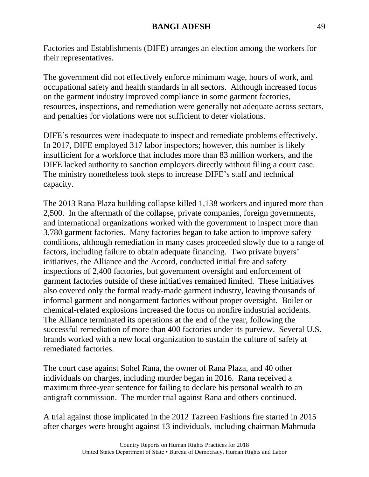Factories and Establishments (DIFE) arranges an election among the workers for their representatives.

The government did not effectively enforce minimum wage, hours of work, and occupational safety and health standards in all sectors. Although increased focus on the garment industry improved compliance in some garment factories, resources, inspections, and remediation were generally not adequate across sectors, and penalties for violations were not sufficient to deter violations.

DIFE's resources were inadequate to inspect and remediate problems effectively. In 2017, DIFE employed 317 labor inspectors; however, this number is likely insufficient for a workforce that includes more than 83 million workers, and the DIFE lacked authority to sanction employers directly without filing a court case. The ministry nonetheless took steps to increase DIFE's staff and technical capacity.

The 2013 Rana Plaza building collapse killed 1,138 workers and injured more than 2,500. In the aftermath of the collapse, private companies, foreign governments, and international organizations worked with the government to inspect more than 3,780 garment factories. Many factories began to take action to improve safety conditions, although remediation in many cases proceeded slowly due to a range of factors, including failure to obtain adequate financing. Two private buyers' initiatives, the Alliance and the Accord, conducted initial fire and safety inspections of 2,400 factories, but government oversight and enforcement of garment factories outside of these initiatives remained limited. These initiatives also covered only the formal ready-made garment industry, leaving thousands of informal garment and nongarment factories without proper oversight. Boiler or chemical-related explosions increased the focus on nonfire industrial accidents. The Alliance terminated its operations at the end of the year, following the successful remediation of more than 400 factories under its purview. Several U.S. brands worked with a new local organization to sustain the culture of safety at remediated factories.

The court case against Sohel Rana, the owner of Rana Plaza, and 40 other individuals on charges, including murder began in 2016. Rana received a maximum three-year sentence for failing to declare his personal wealth to an antigraft commission. The murder trial against Rana and others continued.

A trial against those implicated in the 2012 Tazreen Fashions fire started in 2015 after charges were brought against 13 individuals, including chairman Mahmuda